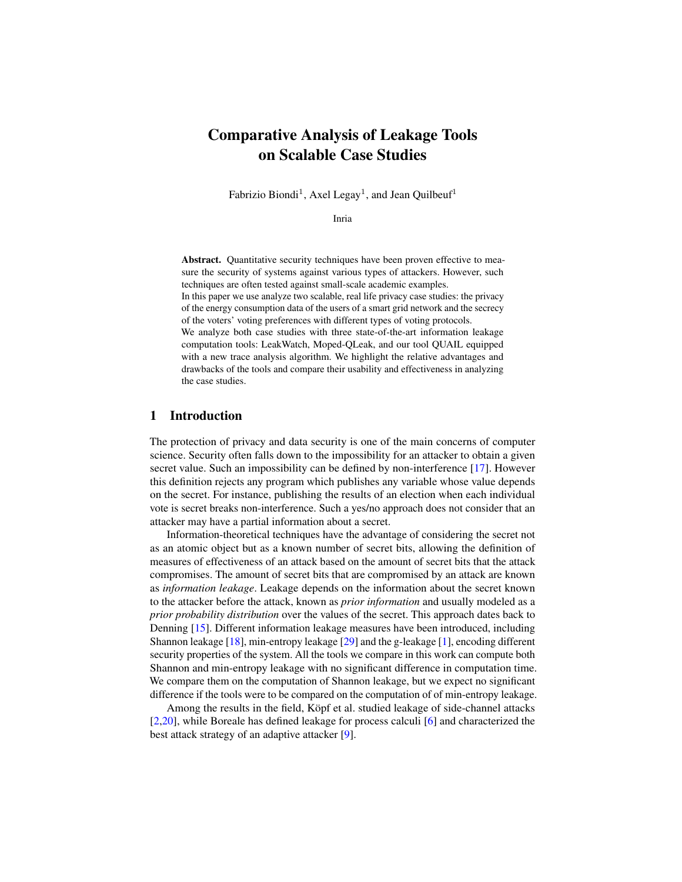# Comparative Analysis of Leakage Tools on Scalable Case Studies

Fabrizio Biondi<sup>1</sup>, Axel Legay<sup>1</sup>, and Jean Quilbeuf<sup>1</sup>

Inria

Abstract. Quantitative security techniques have been proven effective to measure the security of systems against various types of attackers. However, such techniques are often tested against small-scale academic examples.

In this paper we use analyze two scalable, real life privacy case studies: the privacy of the energy consumption data of the users of a smart grid network and the secrecy of the voters' voting preferences with different types of voting protocols.

We analyze both case studies with three state-of-the-art information leakage computation tools: LeakWatch, Moped-QLeak, and our tool QUAIL equipped with a new trace analysis algorithm. We highlight the relative advantages and drawbacks of the tools and compare their usability and effectiveness in analyzing the case studies.

# 1 Introduction

The protection of privacy and data security is one of the main concerns of computer science. Security often falls down to the impossibility for an attacker to obtain a given secret value. Such an impossibility can be defined by non-interference [\[17\]](#page-17-0). However this definition rejects any program which publishes any variable whose value depends on the secret. For instance, publishing the results of an election when each individual vote is secret breaks non-interference. Such a yes/no approach does not consider that an attacker may have a partial information about a secret.

Information-theoretical techniques have the advantage of considering the secret not as an atomic object but as a known number of secret bits, allowing the definition of measures of effectiveness of an attack based on the amount of secret bits that the attack compromises. The amount of secret bits that are compromised by an attack are known as *information leakage*. Leakage depends on the information about the secret known to the attacker before the attack, known as *prior information* and usually modeled as a *prior probability distribution* over the values of the secret. This approach dates back to Denning [\[15\]](#page-17-1). Different information leakage measures have been introduced, including Shannon leakage [\[18\]](#page-17-2), min-entropy leakage [\[29\]](#page-17-3) and the g-leakage [\[1\]](#page-16-0), encoding different security properties of the system. All the tools we compare in this work can compute both Shannon and min-entropy leakage with no significant difference in computation time. We compare them on the computation of Shannon leakage, but we expect no significant difference if the tools were to be compared on the computation of of min-entropy leakage.

Among the results in the field, Köpf et al. studied leakage of side-channel attacks [\[2,](#page-16-1)[20\]](#page-17-4), while Boreale has defined leakage for process calculi [\[6\]](#page-16-2) and characterized the best attack strategy of an adaptive attacker [\[9\]](#page-17-5).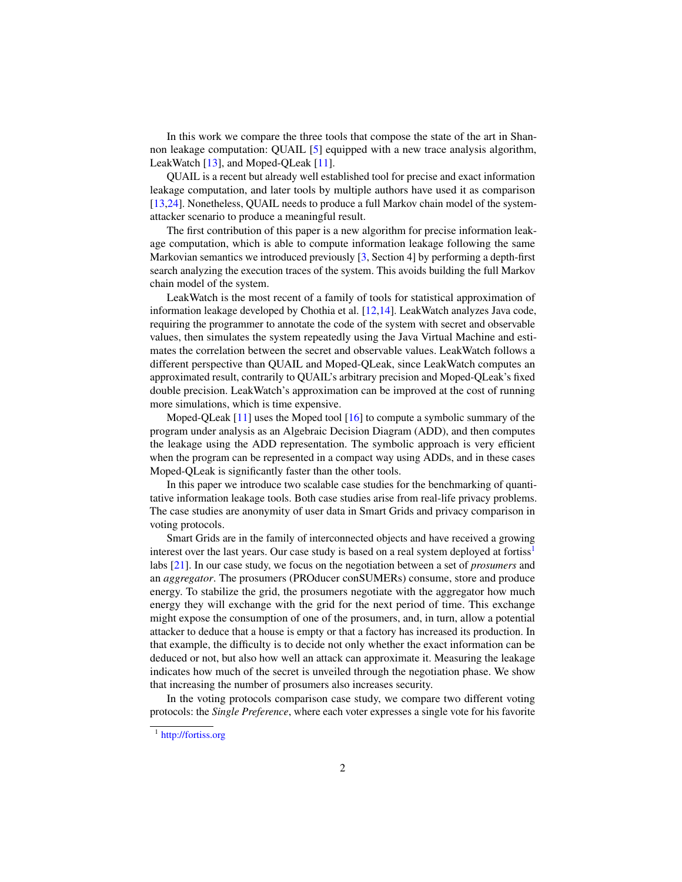In this work we compare the three tools that compose the state of the art in Shannon leakage computation: QUAIL [\[5\]](#page-16-3) equipped with a new trace analysis algorithm, LeakWatch [\[13\]](#page-17-6), and Moped-QLeak [\[11\]](#page-17-7).

QUAIL is a recent but already well established tool for precise and exact information leakage computation, and later tools by multiple authors have used it as comparison [\[13](#page-17-6)[,24\]](#page-17-8). Nonetheless, QUAIL needs to produce a full Markov chain model of the systemattacker scenario to produce a meaningful result.

The first contribution of this paper is a new algorithm for precise information leakage computation, which is able to compute information leakage following the same Markovian semantics we introduced previously [\[3,](#page-16-4) Section 4] by performing a depth-first search analyzing the execution traces of the system. This avoids building the full Markov chain model of the system.

LeakWatch is the most recent of a family of tools for statistical approximation of information leakage developed by Chothia et al. [\[12,](#page-17-9)[14\]](#page-17-10). LeakWatch analyzes Java code, requiring the programmer to annotate the code of the system with secret and observable values, then simulates the system repeatedly using the Java Virtual Machine and estimates the correlation between the secret and observable values. LeakWatch follows a different perspective than QUAIL and Moped-QLeak, since LeakWatch computes an approximated result, contrarily to QUAIL's arbitrary precision and Moped-QLeak's fixed double precision. LeakWatch's approximation can be improved at the cost of running more simulations, which is time expensive.

Moped-QLeak [\[11\]](#page-17-7) uses the Moped tool [\[16\]](#page-17-11) to compute a symbolic summary of the program under analysis as an Algebraic Decision Diagram (ADD), and then computes the leakage using the ADD representation. The symbolic approach is very efficient when the program can be represented in a compact way using ADDs, and in these cases Moped-QLeak is significantly faster than the other tools.

In this paper we introduce two scalable case studies for the benchmarking of quantitative information leakage tools. Both case studies arise from real-life privacy problems. The case studies are anonymity of user data in Smart Grids and privacy comparison in voting protocols.

Smart Grids are in the family of interconnected objects and have received a growing interest over the last years. Our case study is based on a real system deployed at fortiss<sup>[1](#page-1-0)</sup> labs [\[21\]](#page-17-12). In our case study, we focus on the negotiation between a set of *prosumers* and an *aggregator*. The prosumers (PROducer conSUMERs) consume, store and produce energy. To stabilize the grid, the prosumers negotiate with the aggregator how much energy they will exchange with the grid for the next period of time. This exchange might expose the consumption of one of the prosumers, and, in turn, allow a potential attacker to deduce that a house is empty or that a factory has increased its production. In that example, the difficulty is to decide not only whether the exact information can be deduced or not, but also how well an attack can approximate it. Measuring the leakage indicates how much of the secret is unveiled through the negotiation phase. We show that increasing the number of prosumers also increases security.

In the voting protocols comparison case study, we compare two different voting protocols: the *Single Preference*, where each voter expresses a single vote for his favorite

<span id="page-1-0"></span><sup>&</sup>lt;sup>1</sup> <http://fortiss.org>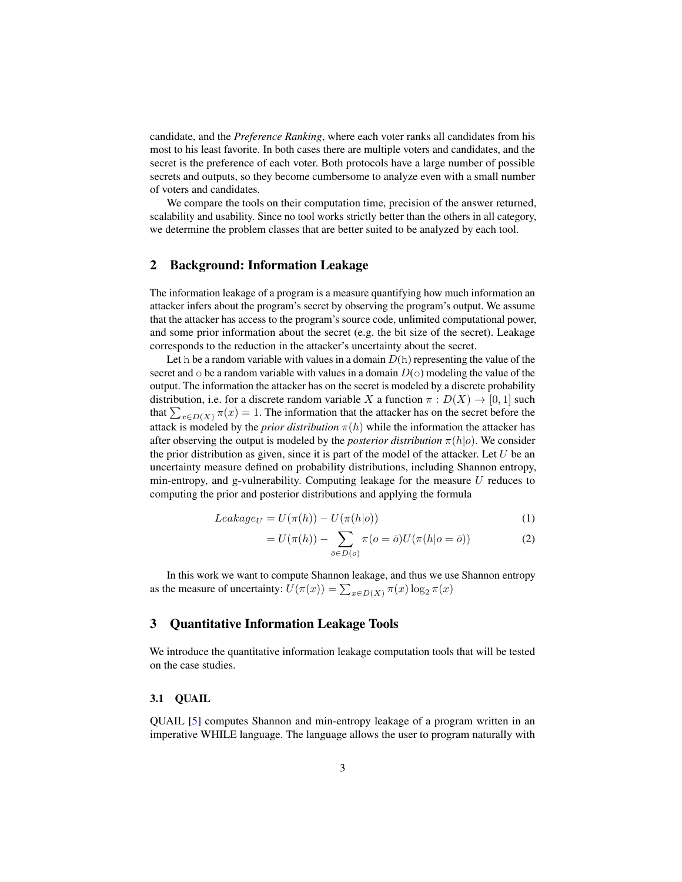candidate, and the *Preference Ranking*, where each voter ranks all candidates from his most to his least favorite. In both cases there are multiple voters and candidates, and the secret is the preference of each voter. Both protocols have a large number of possible secrets and outputs, so they become cumbersome to analyze even with a small number of voters and candidates.

We compare the tools on their computation time, precision of the answer returned, scalability and usability. Since no tool works strictly better than the others in all category, we determine the problem classes that are better suited to be analyzed by each tool.

### <span id="page-2-0"></span>2 Background: Information Leakage

The information leakage of a program is a measure quantifying how much information an attacker infers about the program's secret by observing the program's output. We assume that the attacker has access to the program's source code, unlimited computational power, and some prior information about the secret (e.g. the bit size of the secret). Leakage corresponds to the reduction in the attacker's uncertainty about the secret.

Let h be a random variable with values in a domain  $D(h)$  representing the value of the secret and  $\circ$  be a random variable with values in a domain  $D(\circ)$  modeling the value of the output. The information the attacker has on the secret is modeled by a discrete probability distribution, i.e. for a discrete random variable X a function  $\pi : D(X) \to [0,1]$  such that  $\sum_{x \in D(X)} \pi(x) = 1$ . The information that the attacker has on the secret before the attack is modeled by the *prior distribution*  $\pi(h)$  while the information the attacker has after observing the output is modeled by the *posterior distribution*  $\pi(h|o)$ . We consider the prior distribution as given, since it is part of the model of the attacker. Let  $U$  be an uncertainty measure defined on probability distributions, including Shannon entropy, min-entropy, and g-vulnerability. Computing leakage for the measure  $U$  reduces to computing the prior and posterior distributions and applying the formula

$$
Leakage_U = U(\pi(h)) - U(\pi(h|o))
$$
\n<sup>(1)</sup>

<span id="page-2-1"></span>
$$
=U(\pi(h))-\sum_{\bar{o}\in D(o)}\pi(o=\bar{o})U(\pi(h|o=\bar{o}))\tag{2}
$$

In this work we want to compute Shannon leakage, and thus we use Shannon entropy as the measure of uncertainty:  $U(\pi(x)) = \sum_{x \in D(X)} \pi(x) \log_2 \pi(x)$ 

# 3 Quantitative Information Leakage Tools

We introduce the quantitative information leakage computation tools that will be tested on the case studies.

#### 3.1 QUAIL

QUAIL [\[5\]](#page-16-3) computes Shannon and min-entropy leakage of a program written in an imperative WHILE language. The language allows the user to program naturally with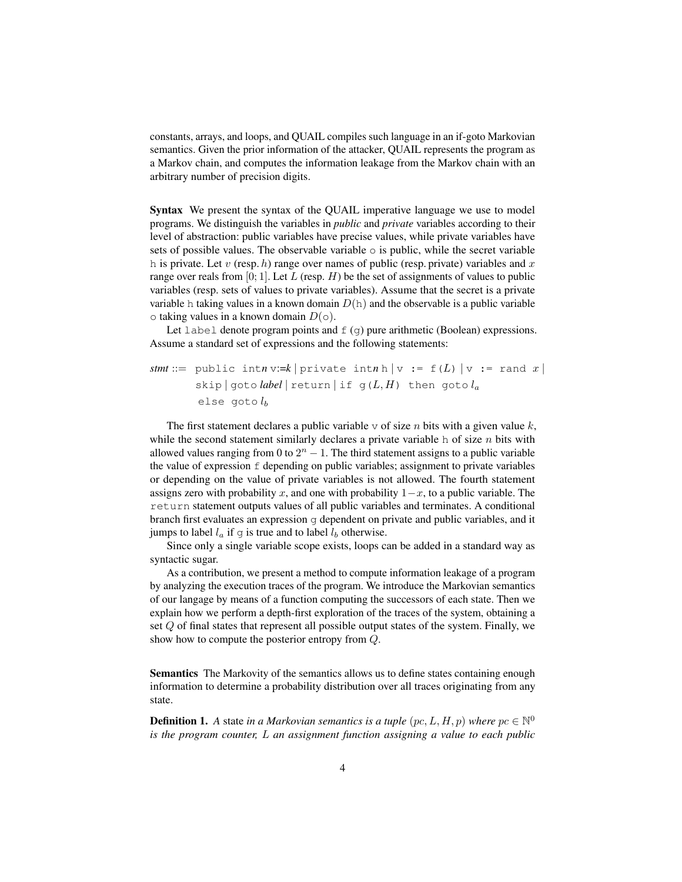constants, arrays, and loops, and QUAIL compiles such language in an if-goto Markovian semantics. Given the prior information of the attacker, QUAIL represents the program as a Markov chain, and computes the information leakage from the Markov chain with an arbitrary number of precision digits.

Syntax We present the syntax of the QUAIL imperative language we use to model programs. We distinguish the variables in *public* and *private* variables according to their level of abstraction: public variables have precise values, while private variables have sets of possible values. The observable variable  $\circ$  is public, while the secret variable h is private. Let v (resp. h) range over names of public (resp. private) variables and x range over reals from [0; 1]. Let L (resp. H) be the set of assignments of values to public variables (resp. sets of values to private variables). Assume that the secret is a private variable h taking values in a known domain  $D(h)$  and the observable is a public variable  $\circ$  taking values in a known domain  $D(\circ)$ .

Let  $\text{label}$  denote program points and  $f$  (g) pure arithmetic (Boolean) expressions. Assume a standard set of expressions and the following statements:

```
stmt ::= public intnv:=k | private intn h | v := f(L) | v := rand x |
        \text{skip} | goto label | return | if g(L, H) then goto l_aelse gotol_b
```
The first statement declares a public variable  $\vee$  of size n bits with a given value k, while the second statement similarly declares a private variable  $h$  of size  $n$  bits with allowed values ranging from 0 to  $2<sup>n</sup> - 1$ . The third statement assigns to a public variable the value of expression f depending on public variables; assignment to private variables or depending on the value of private variables is not allowed. The fourth statement assigns zero with probability x, and one with probability  $1-x$ , to a public variable. The return statement outputs values of all public variables and terminates. A conditional branch first evaluates an expression g dependent on private and public variables, and it jumps to label  $l_a$  if g is true and to label  $l_b$  otherwise.

Since only a single variable scope exists, loops can be added in a standard way as syntactic sugar.

As a contribution, we present a method to compute information leakage of a program by analyzing the execution traces of the program. We introduce the Markovian semantics of our langage by means of a function computing the successors of each state. Then we explain how we perform a depth-first exploration of the traces of the system, obtaining a set Q of final states that represent all possible output states of the system. Finally, we show how to compute the posterior entropy from Q.

Semantics The Markovity of the semantics allows us to define states containing enough information to determine a probability distribution over all traces originating from any state.

**Definition 1.** A state in a Markovian semantics is a tuple  $(pc, L, H, p)$  where  $pc \in \mathbb{N}^0$ *is the program counter,* L *an assignment function assigning a value to each public*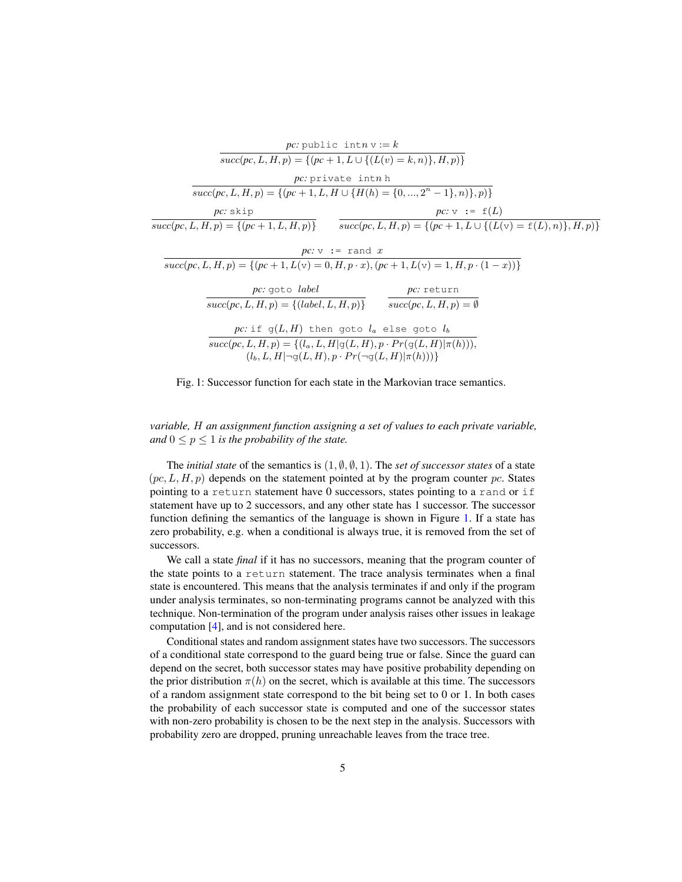<span id="page-4-0"></span>

|                                              | pc: public int $n v := k$                                                                          |
|----------------------------------------------|----------------------------------------------------------------------------------------------------|
|                                              | $succ(pc, L, H, p) = \{(pc + 1, L \cup \{(L(v) = k, n)\}, H, p)\}\$                                |
|                                              | pc: private inth h                                                                                 |
|                                              | $succ(pc, L, H, p) = \{(pc + 1, L, H \cup \{H(h) = \{0, , 2^{n} - 1\}, n)\}, p)\}\$                |
| pc: skip                                     | $pc: v := f(L)$                                                                                    |
| $succ(pc, L, H, p) = \{(pc + 1, L, H, p)\}\$ | $succ(pc, L, H, p) = \{(pc + 1, L \cup \{(L(v) = f(L), n)\}, H, p)\}\$                             |
|                                              | $pc: v := \text{rand } x$                                                                          |
|                                              | $succ(pc, L, H, p) = \{(pc + 1, L(v) = 0, H, p \cdot x), (pc + 1, L(v) = 1, H, p \cdot (1 - x))\}$ |
| pc: goto label                               | pc: return                                                                                         |
| $succ(pc, L, H, p) = \{(label, L, H, p)\}\$  | $succ(pc, L, H, p) = \emptyset$                                                                    |
|                                              | pc: if $g(L, H)$ then goto $l_a$ else goto $l_b$                                                   |
|                                              | $succ(pc, L, H, p) = \{(l_a, L, H   \mathcal{q}(L, H), p \cdot Pr(\mathcal{q}(L, H)   \pi(h))),$   |
|                                              | $(l_b, L, H   \neg q(L, H), p \cdot Pr(\neg q(L, H)   \pi(h)))\}$                                  |

Fig. 1: Successor function for each state in the Markovian trace semantics.

### *variable,* H *an assignment function assigning a set of values to each private variable, and*  $0 \leq p \leq 1$  *is the probability of the state.*

The *initial state* of the semantics is (1, ∅, ∅, 1). The *set of successor states* of a state  $(pc, L, H, p)$  depends on the statement pointed at by the program counter pc. States pointing to a return statement have 0 successors, states pointing to a rand or if statement have up to 2 successors, and any other state has 1 successor. The successor function defining the semantics of the language is shown in Figure [1.](#page-4-0) If a state has zero probability, e.g. when a conditional is always true, it is removed from the set of successors.

We call a state *final* if it has no successors, meaning that the program counter of the state points to a return statement. The trace analysis terminates when a final state is encountered. This means that the analysis terminates if and only if the program under analysis terminates, so non-terminating programs cannot be analyzed with this technique. Non-termination of the program under analysis raises other issues in leakage computation [\[4\]](#page-16-5), and is not considered here.

Conditional states and random assignment states have two successors. The successors of a conditional state correspond to the guard being true or false. Since the guard can depend on the secret, both successor states may have positive probability depending on the prior distribution  $\pi(h)$  on the secret, which is available at this time. The successors of a random assignment state correspond to the bit being set to 0 or 1. In both cases the probability of each successor state is computed and one of the successor states with non-zero probability is chosen to be the next step in the analysis. Successors with probability zero are dropped, pruning unreachable leaves from the trace tree.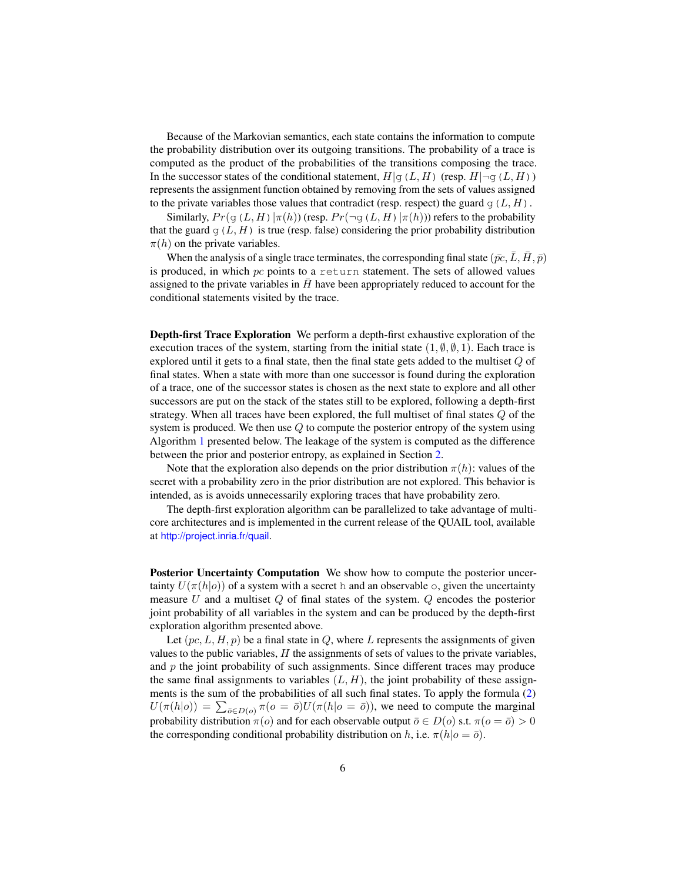Because of the Markovian semantics, each state contains the information to compute the probability distribution over its outgoing transitions. The probability of a trace is computed as the product of the probabilities of the transitions composing the trace. In the successor states of the conditional statement,  $H|g(L, H)$  (resp.  $H|\neg g(L, H)$ ) represents the assignment function obtained by removing from the sets of values assigned to the private variables those values that contradict (resp. respect) the guard  $q(L, H)$ .

Similarly,  $Pr(\sigma(L, H)|\pi(h))$  (resp.  $Pr(\neg \sigma(L, H)|\pi(h))$ ) refers to the probability that the guard  $g(L, H)$  is true (resp. false) considering the prior probability distribution  $\pi(h)$  on the private variables.

When the analysis of a single trace terminates, the corresponding final state ( $\bar{pc}$ ,  $\bar{L}$ ,  $\bar{H}$ ,  $\bar{p}$ ) is produced, in which  $pc$  points to a return statement. The sets of allowed values assigned to the private variables in  $H$  have been appropriately reduced to account for the conditional statements visited by the trace.

Depth-first Trace Exploration We perform a depth-first exhaustive exploration of the execution traces of the system, starting from the initial state  $(1, \emptyset, \emptyset, 1)$ . Each trace is explored until it gets to a final state, then the final state gets added to the multiset Q of final states. When a state with more than one successor is found during the exploration of a trace, one of the successor states is chosen as the next state to explore and all other successors are put on the stack of the states still to be explored, following a depth-first strategy. When all traces have been explored, the full multiset of final states Q of the system is produced. We then use  $Q$  to compute the posterior entropy of the system using Algorithm [1](#page-6-0) presented below. The leakage of the system is computed as the difference between the prior and posterior entropy, as explained in Section [2.](#page-2-0)

Note that the exploration also depends on the prior distribution  $\pi(h)$ : values of the secret with a probability zero in the prior distribution are not explored. This behavior is intended, as is avoids unnecessarily exploring traces that have probability zero.

The depth-first exploration algorithm can be parallelized to take advantage of multicore architectures and is implemented in the current release of the QUAIL tool, available at <http://project.inria.fr/quail>.

Posterior Uncertainty Computation We show how to compute the posterior uncertainty  $U(\pi(h|o))$  of a system with a secret h and an observable o, given the uncertainty measure U and a multiset  $Q$  of final states of the system.  $Q$  encodes the posterior joint probability of all variables in the system and can be produced by the depth-first exploration algorithm presented above.

Let  $(pc, L, H, p)$  be a final state in Q, where L represents the assignments of given values to the public variables,  $H$  the assignments of sets of values to the private variables, and  $p$  the joint probability of such assignments. Since different traces may produce the same final assignments to variables  $(L, H)$ , the joint probability of these assignments is the sum of the probabilities of all such final states. To apply the formula [\(2\)](#page-2-1)  $U(\pi(h|o)) = \sum_{\bar{o} \in D(o)} \pi(o = \bar{o}) U(\pi(h|o = \bar{o}))$ , we need to compute the marginal probability distribution  $\pi(o)$  and for each observable output  $\bar{o} \in D(o)$  s.t.  $\pi(o = \bar{o}) > 0$ the corresponding conditional probability distribution on h, i.e.  $\pi(h|o = \overline{o})$ .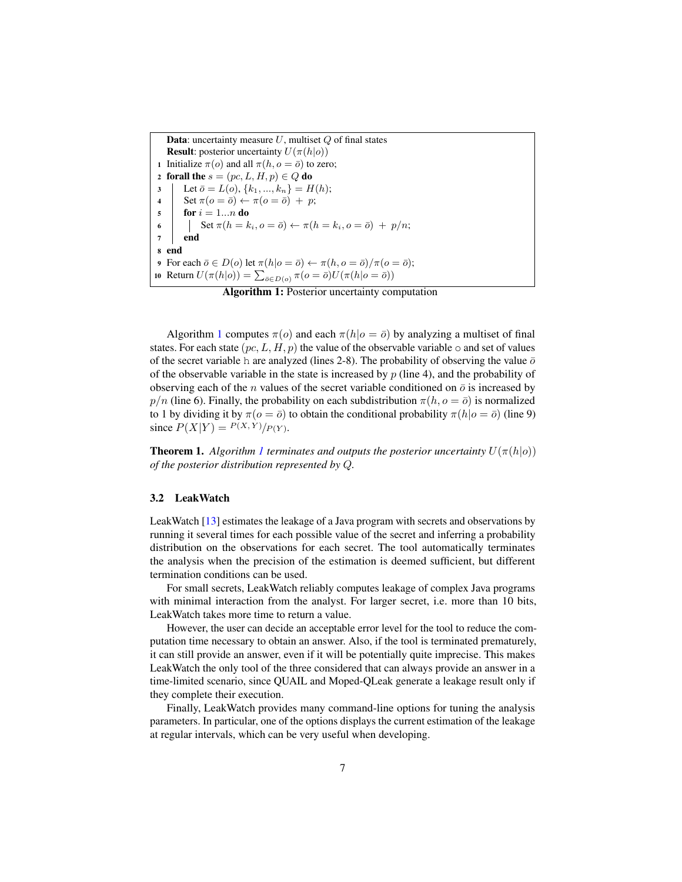**Data:** uncertainty measure  $U$ , multiset  $Q$  of final states **Result:** posterior uncertainty  $U(\pi(h|o))$ 1 Initialize  $\pi(o)$  and all  $\pi(h, o = \overline{o})$  to zero; 2 forall the  $s = (pc, L, H, p) \in Q$  do 3 | Let  $\bar{o} = L(o), \{k_1, ..., k_n\} = H(h);$ 4 Set  $\pi(o = \overline{o}) \leftarrow \pi(o = \overline{o}) + p;$ 5 **for**  $i = 1...n$  do 6  $\Box$  Set  $\pi(h = k_i, o = \overline{o}) \leftarrow \pi(h = k_i, o = \overline{o}) + p/n;$  $7$  end <sup>8</sup> end 9 For each  $\bar{o} \in D(o)$  let  $\pi(h|o = \bar{o}) \leftarrow \pi(h, o = \bar{o})/\pi(o = \bar{o});$ 10 Return  $U(\pi(h|o)) = \sum_{\bar{o} \in D(o)} \pi(o = \bar{o}) U(\pi(h|o = \bar{o}))$ 

Algorithm 1: Posterior uncertainty computation

<span id="page-6-0"></span>Algorithm [1](#page-6-0) computes  $\pi(o)$  and each  $\pi(h|o = \overline{o})$  by analyzing a multiset of final states. For each state  $(pc, L, H, p)$  the value of the observable variable  $\circ$  and set of values of the secret variable h are analyzed (lines 2-8). The probability of observing the value  $\bar{o}$ of the observable variable in the state is increased by  $p$  (line 4), and the probability of observing each of the n values of the secret variable conditioned on  $\bar{o}$  is increased by  $p/n$  (line 6). Finally, the probability on each subdistribution  $\pi(h, o = \overline{o})$  is normalized to 1 by dividing it by  $\pi(o = \overline{o})$  to obtain the conditional probability  $\pi(h|o = \overline{o})$  (line 9) since  $P(X|Y) = \frac{P(X,Y)}{P(Y)}$ .

<span id="page-6-1"></span>**Theorem [1](#page-6-0).** *Algorithm 1 terminates and outputs the posterior uncertainty*  $U(\pi(h|o))$ *of the posterior distribution represented by* Q*.*

#### 3.2 LeakWatch

LeakWatch [\[13\]](#page-17-6) estimates the leakage of a Java program with secrets and observations by running it several times for each possible value of the secret and inferring a probability distribution on the observations for each secret. The tool automatically terminates the analysis when the precision of the estimation is deemed sufficient, but different termination conditions can be used.

For small secrets, LeakWatch reliably computes leakage of complex Java programs with minimal interaction from the analyst. For larger secret, i.e. more than 10 bits, LeakWatch takes more time to return a value.

However, the user can decide an acceptable error level for the tool to reduce the computation time necessary to obtain an answer. Also, if the tool is terminated prematurely, it can still provide an answer, even if it will be potentially quite imprecise. This makes LeakWatch the only tool of the three considered that can always provide an answer in a time-limited scenario, since QUAIL and Moped-QLeak generate a leakage result only if they complete their execution.

Finally, LeakWatch provides many command-line options for tuning the analysis parameters. In particular, one of the options displays the current estimation of the leakage at regular intervals, which can be very useful when developing.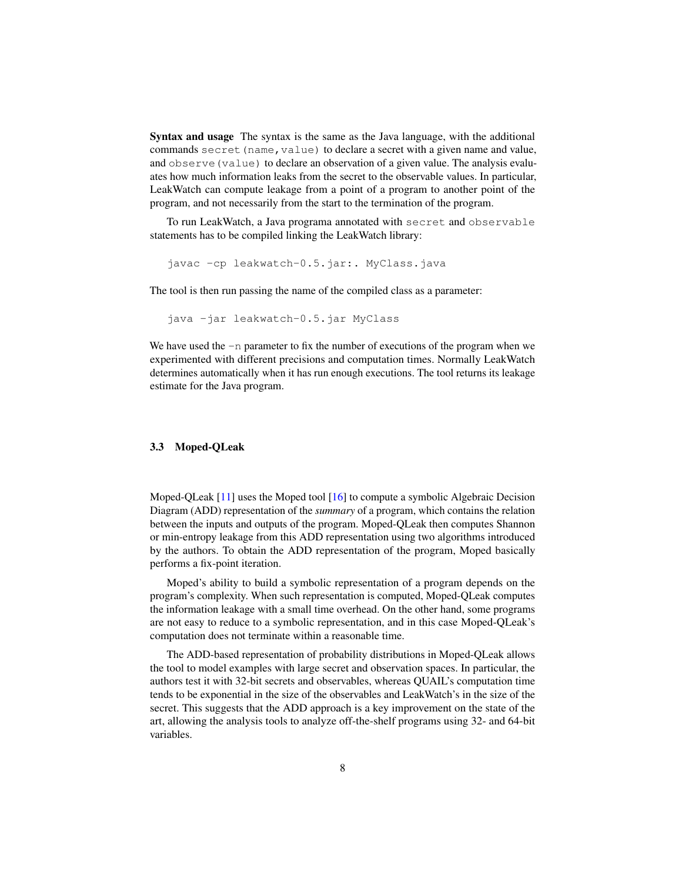Syntax and usage The syntax is the same as the Java language, with the additional commands secret (name, value) to declare a secret with a given name and value, and observe(value) to declare an observation of a given value. The analysis evaluates how much information leaks from the secret to the observable values. In particular, LeakWatch can compute leakage from a point of a program to another point of the program, and not necessarily from the start to the termination of the program.

To run LeakWatch, a Java programa annotated with secret and observable statements has to be compiled linking the LeakWatch library:

```
javac -cp leakwatch-0.5.jar:. MyClass.java
```
The tool is then run passing the name of the compiled class as a parameter:

java -jar leakwatch-0.5.jar MyClass

We have used the  $-n$  parameter to fix the number of executions of the program when we experimented with different precisions and computation times. Normally LeakWatch determines automatically when it has run enough executions. The tool returns its leakage estimate for the Java program.

#### 3.3 Moped-QLeak

Moped-QLeak [\[11\]](#page-17-7) uses the Moped tool [\[16\]](#page-17-11) to compute a symbolic Algebraic Decision Diagram (ADD) representation of the *summary* of a program, which contains the relation between the inputs and outputs of the program. Moped-QLeak then computes Shannon or min-entropy leakage from this ADD representation using two algorithms introduced by the authors. To obtain the ADD representation of the program, Moped basically performs a fix-point iteration.

Moped's ability to build a symbolic representation of a program depends on the program's complexity. When such representation is computed, Moped-QLeak computes the information leakage with a small time overhead. On the other hand, some programs are not easy to reduce to a symbolic representation, and in this case Moped-QLeak's computation does not terminate within a reasonable time.

The ADD-based representation of probability distributions in Moped-QLeak allows the tool to model examples with large secret and observation spaces. In particular, the authors test it with 32-bit secrets and observables, whereas QUAIL's computation time tends to be exponential in the size of the observables and LeakWatch's in the size of the secret. This suggests that the ADD approach is a key improvement on the state of the art, allowing the analysis tools to analyze off-the-shelf programs using 32- and 64-bit variables.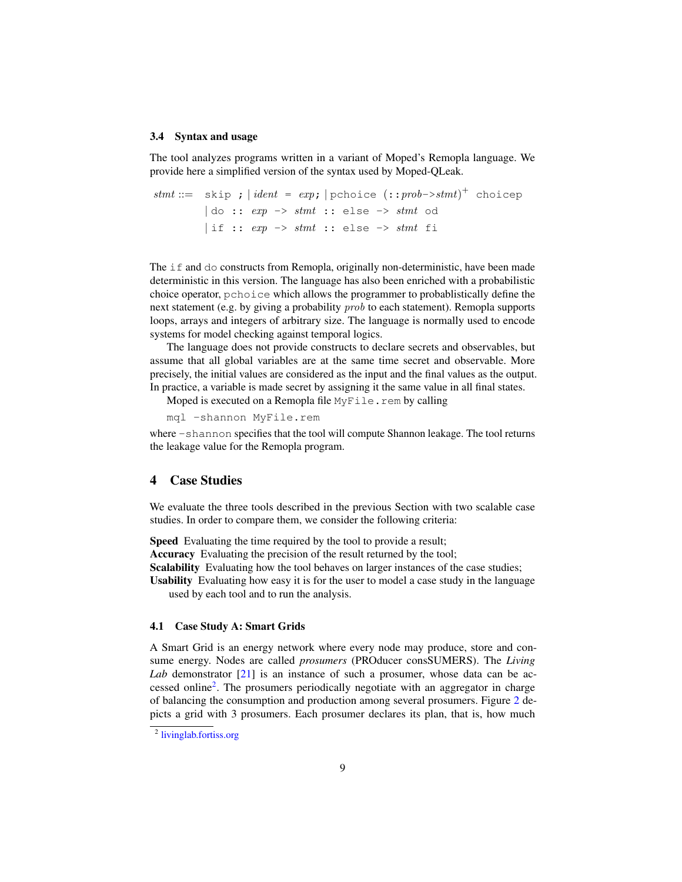#### 3.4 Syntax and usage

The tool analyzes programs written in a variant of Moped's Remopla language. We provide here a simplified version of the syntax used by Moped-QLeak.

```
stmt ::= skip ; | ident = exp; | pchoice (::prob->stmt)^{+} choicep
         | do :: exp \rightarrow stmt :: else \rightarrow stmt od
         | if :: exp \rightarrow stmt :: else -> stmt fi
```
The  $if$  and  $do$  constructs from Remopla, originally non-deterministic, have been made deterministic in this version. The language has also been enriched with a probabilistic choice operator, pchoice which allows the programmer to probablistically define the next statement (e.g. by giving a probability *prob* to each statement). Remopla supports loops, arrays and integers of arbitrary size. The language is normally used to encode systems for model checking against temporal logics.

The language does not provide constructs to declare secrets and observables, but assume that all global variables are at the same time secret and observable. More precisely, the initial values are considered as the input and the final values as the output. In practice, a variable is made secret by assigning it the same value in all final states.

Moped is executed on a Remopla file MyFile.rem by calling

mql -shannon MyFile.rem

where -shannon specifies that the tool will compute Shannon leakage. The tool returns the leakage value for the Remopla program.

# 4 Case Studies

We evaluate the three tools described in the previous Section with two scalable case studies. In order to compare them, we consider the following criteria:

Speed Evaluating the time required by the tool to provide a result; Accuracy Evaluating the precision of the result returned by the tool; Scalability Evaluating how the tool behaves on larger instances of the case studies; Usability Evaluating how easy it is for the user to model a case study in the language used by each tool and to run the analysis.

4.1 Case Study A: Smart Grids

A Smart Grid is an energy network where every node may produce, store and consume energy. Nodes are called *prosumers* (PROducer consSUMERS). The *Living Lab* demonstrator [\[21\]](#page-17-12) is an instance of such a prosumer, whose data can be ac-cessed online<sup>[2](#page-8-0)</sup>. The prosumers periodically negotiate with an aggregator in charge of balancing the consumption and production among several prosumers. Figure [2](#page-9-0) depicts a grid with 3 prosumers. Each prosumer declares its plan, that is, how much

<span id="page-8-0"></span><sup>&</sup>lt;sup>2</sup> [livinglab.fortiss.org](http://livinglab.fortiss.org)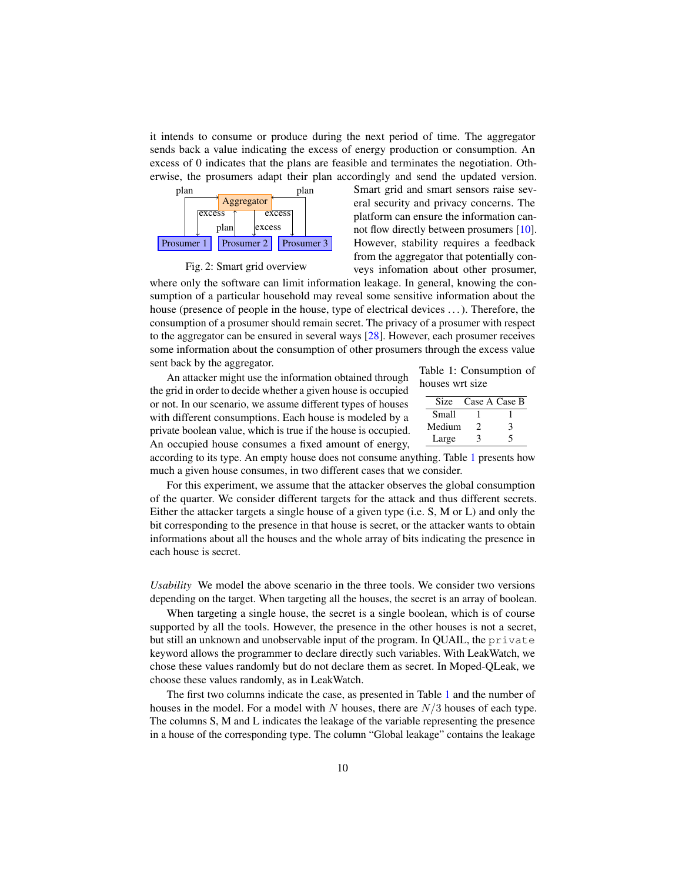it intends to consume or produce during the next period of time. The aggregator sends back a value indicating the excess of energy production or consumption. An excess of 0 indicates that the plans are feasible and terminates the negotiation. Otherwise, the prosumers adapt their plan accordingly and send the updated version.

<span id="page-9-0"></span>

Fig. 2: Smart grid overview

Smart grid and smart sensors raise several security and privacy concerns. The platform can ensure the information cannot flow directly between prosumers [\[10\]](#page-17-13). However, stability requires a feedback from the aggregator that potentially conveys infomation about other prosumer,

where only the software can limit information leakage. In general, knowing the consumption of a particular household may reveal some sensitive information about the house (presence of people in the house, type of electrical devices ...). Therefore, the consumption of a prosumer should remain secret. The privacy of a prosumer with respect to the aggregator can be ensured in several ways [\[28\]](#page-17-14). However, each prosumer receives some information about the consumption of other prosumers through the excess value sent back by the aggregator.<br>
An attacker might use the information obtained through houses wrt size

the grid in order to decide whether a given house is occupied or not. In our scenario, we assume different types of houses with different consumptions. Each house is modeled by a private boolean value, which is true if the house is occupied. An occupied house consumes a fixed amount of energy,

| Table 1: Consumption of |  |
|-------------------------|--|
| houses wrt size         |  |

<span id="page-9-1"></span>

| <b>Size</b> | Case A Case B |   |
|-------------|---------------|---|
| Small       |               |   |
| Medium      | 2             | 3 |
| Large       | 3             |   |

according to its type. An empty house does not consume anything. Table [1](#page-9-1) presents how much a given house consumes, in two different cases that we consider.

For this experiment, we assume that the attacker observes the global consumption of the quarter. We consider different targets for the attack and thus different secrets. Either the attacker targets a single house of a given type (i.e. S, M or L) and only the bit corresponding to the presence in that house is secret, or the attacker wants to obtain informations about all the houses and the whole array of bits indicating the presence in each house is secret.

*Usability* We model the above scenario in the three tools. We consider two versions depending on the target. When targeting all the houses, the secret is an array of boolean.

When targeting a single house, the secret is a single boolean, which is of course supported by all the tools. However, the presence in the other houses is not a secret, but still an unknown and unobservable input of the program. In QUAIL, the  $\pi$ ivate keyword allows the programmer to declare directly such variables. With LeakWatch, we chose these values randomly but do not declare them as secret. In Moped-QLeak, we choose these values randomly, as in LeakWatch.

The first two columns indicate the case, as presented in Table [1](#page-9-1) and the number of houses in the model. For a model with N houses, there are  $N/3$  houses of each type. The columns S, M and L indicates the leakage of the variable representing the presence in a house of the corresponding type. The column "Global leakage" contains the leakage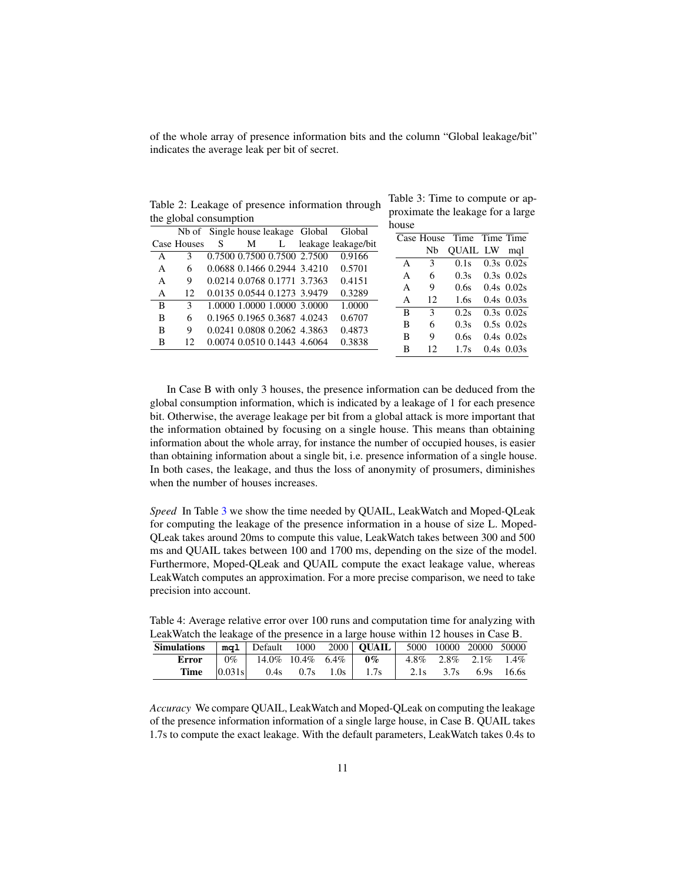of the whole array of presence information bits and the column "Global leakage/bit" indicates the average leak per bit of secret.

> Table 3: Time to compute or approximate the leakage for a large

<span id="page-10-0"></span>Table 2: Leakage of presence information through the global consumption

|   | uit giobai consumption |   |   |   |                                   |                     | house |    |                           |                |
|---|------------------------|---|---|---|-----------------------------------|---------------------|-------|----|---------------------------|----------------|
|   |                        |   |   |   | Nb of Single house leakage Global | Global              |       |    |                           |                |
|   | Case Houses            | S | M | L |                                   | leakage leakage/bit |       |    | Case House Time Time Time |                |
| A | 3                      |   |   |   | 0.7500 0.7500 0.7500 2.7500       | 0.9166              |       | Nb | <b>OUAIL LW</b>           | mgl            |
|   |                        |   |   |   |                                   |                     | A     | 3  | 0.1s                      | $0.3s$ $0.02s$ |
| A | 6                      |   |   |   | 0.0688 0.1466 0.2944 3.4210       | 0.5701              |       |    |                           |                |
| A | 9                      |   |   |   | 0.0214 0.0768 0.1771 3.7363       | 0.4151              | A     | 6  | 0.3s                      | $0.3s$ $0.02s$ |
|   |                        |   |   |   |                                   |                     | A     | 9  | 0.6s                      | $0.4s$ $0.02s$ |
| A | 12                     |   |   |   | 0.0135 0.0544 0.1273 3.9479       | 0.3289              | А     | 12 | 1.6s                      | $0.4s$ $0.03s$ |
| B | 3                      |   |   |   | 1.0000 1.0000 1.0000 3.0000       | 1.0000              |       |    |                           |                |
|   |                        |   |   |   |                                   |                     | B     | 3  | 0.2s                      | $0.3s$ $0.02s$ |
| B | 6                      |   |   |   | 0.1965 0.1965 0.3687 4.0243       | 0.6707              | B     | 6  | 0.3s                      | $0.5s$ $0.02s$ |
| B | 9                      |   |   |   | 0.0241 0.0808 0.2062 4.3863       | 0.4873              |       |    |                           |                |
| B |                        |   |   |   | 0.0074 0.0510 0.1443 4.6064       | 0.3838              | B     | 9  | 0.6s                      | $0.4s$ 0.02s   |
|   | 12                     |   |   |   |                                   |                     | в     | 12 | 1.7s                      | $0.4s$ $0.03s$ |
|   |                        |   |   |   |                                   |                     |       |    |                           |                |

In Case B with only 3 houses, the presence information can be deduced from the global consumption information, which is indicated by a leakage of 1 for each presence bit. Otherwise, the average leakage per bit from a global attack is more important that the information obtained by focusing on a single house. This means than obtaining information about the whole array, for instance the number of occupied houses, is easier than obtaining information about a single bit, i.e. presence information of a single house. In both cases, the leakage, and thus the loss of anonymity of prosumers, diminishes when the number of houses increases.

*Speed* In Table [3](#page-10-0) we show the time needed by QUAIL, LeakWatch and Moped-QLeak for computing the leakage of the presence information in a house of size L. Moped-QLeak takes around 20ms to compute this value, LeakWatch takes between 300 and 500 ms and QUAIL takes between 100 and 1700 ms, depending on the size of the model. Furthermore, Moped-QLeak and QUAIL compute the exact leakage value, whereas LeakWatch computes an approximation. For a more precise comparison, we need to take precision into account.

<span id="page-10-1"></span>Table 4: Average relative error over 100 runs and computation time for analyzing with LeakWatch the leakage of the presence in a large house within 12 houses in Case B.

| <b>Simulations</b> |        |                                   |                       | $mq1$ Default 1000 2000 QUAIL 5000 10000 20000 50000 |                             |                        |  |
|--------------------|--------|-----------------------------------|-----------------------|------------------------------------------------------|-----------------------------|------------------------|--|
| Error              |        | $0\%$   14.0\% 10.4\% 6.4\%   0\% |                       |                                                      | $\vert$ 4.8% 2.8% 2.1% 1.4% |                        |  |
| Time               | 0.031s |                                   | 0.4s $0.7s$ 1.0s 1.7s |                                                      |                             | 2.1s $3.7s$ 6.9s 16.6s |  |

*Accuracy* We compare QUAIL, LeakWatch and Moped-QLeak on computing the leakage of the presence information information of a single large house, in Case B. QUAIL takes 1.7s to compute the exact leakage. With the default parameters, LeakWatch takes 0.4s to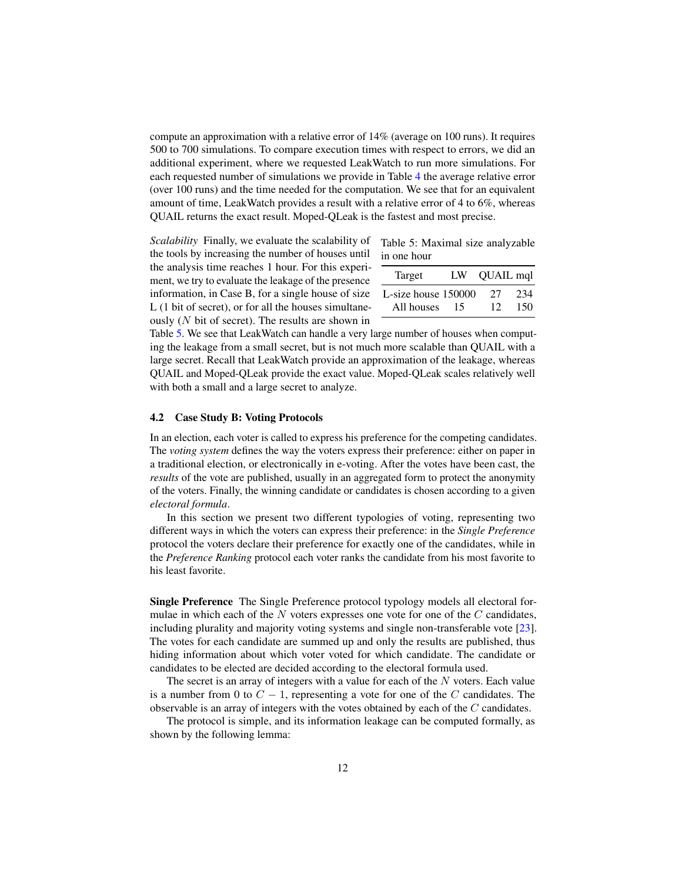compute an approximation with a relative error of 14% (average on 100 runs). It requires 500 to 700 simulations. To compare execution times with respect to errors, we did an additional experiment, where we requested LeakWatch to run more simulations. For each requested number of simulations we provide in Table [4](#page-10-1) the average relative error (over 100 runs) and the time needed for the computation. We see that for an equivalent amount of time, LeakWatch provides a result with a relative error of 4 to 6%, whereas QUAIL returns the exact result. Moped-QLeak is the fastest and most precise.

*Scalability* Finally, we evaluate the scalability of the tools by increasing the number of houses until the analysis time reaches 1 hour. For this experiment, we try to evaluate the leakage of the presence information, in Case B, for a single house of size L (1 bit of secret), or for all the houses simultaneously (N bit of secret). The results are shown in

|             | Table 5: Maximal size analyzable |  |  |
|-------------|----------------------------------|--|--|
| in one hour |                                  |  |  |

<span id="page-11-0"></span>

| Target              | LW | QUAIL mql |     |
|---------------------|----|-----------|-----|
| L-size house 150000 |    | 27        | 234 |
| All houses          | 15 | 12        | 150 |

Table [5.](#page-11-0) We see that LeakWatch can handle a very large number of houses when computing the leakage from a small secret, but is not much more scalable than QUAIL with a large secret. Recall that LeakWatch provide an approximation of the leakage, whereas QUAIL and Moped-QLeak provide the exact value. Moped-QLeak scales relatively well with both a small and a large secret to analyze.

#### 4.2 Case Study B: Voting Protocols

In an election, each voter is called to express his preference for the competing candidates. The *voting system* defines the way the voters express their preference: either on paper in a traditional election, or electronically in e-voting. After the votes have been cast, the *results* of the vote are published, usually in an aggregated form to protect the anonymity of the voters. Finally, the winning candidate or candidates is chosen according to a given *electoral formula*.

In this section we present two different typologies of voting, representing two different ways in which the voters can express their preference: in the *Single Preference* protocol the voters declare their preference for exactly one of the candidates, while in the *Preference Ranking* protocol each voter ranks the candidate from his most favorite to his least favorite.

Single Preference The Single Preference protocol typology models all electoral formulae in which each of the  $N$  voters expresses one vote for one of the  $C$  candidates, including plurality and majority voting systems and single non-transferable vote [\[23\]](#page-17-15). The votes for each candidate are summed up and only the results are published, thus hiding information about which voter voted for which candidate. The candidate or candidates to be elected are decided according to the electoral formula used.

The secret is an array of integers with a value for each of the  $N$  voters. Each value is a number from 0 to  $C - 1$ , representing a vote for one of the C candidates. The observable is an array of integers with the votes obtained by each of the C candidates.

<span id="page-11-1"></span>The protocol is simple, and its information leakage can be computed formally, as shown by the following lemma: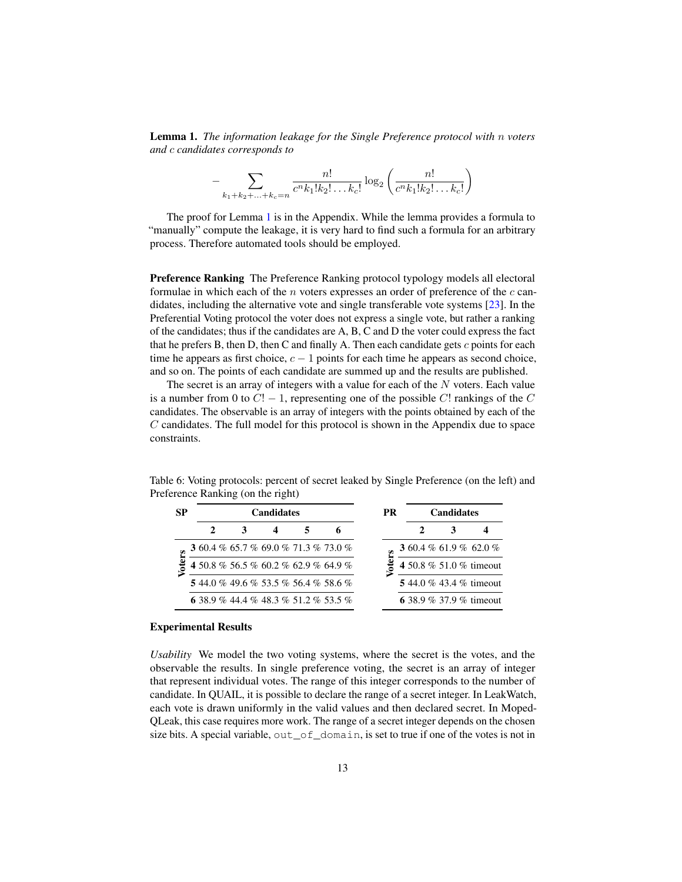Lemma 1. *The information leakage for the Single Preference protocol with* n *voters and* c *candidates corresponds to*

$$
- \sum_{k_1 + k_2 + \ldots + k_c = n} \frac{n!}{c^n k_1! k_2! \ldots k_c!} \log_2 \left( \frac{n!}{c^n k_1! k_2! \ldots k_c!} \right)
$$

The proof for Lemma [1](#page-11-1) is in the Appendix. While the lemma provides a formula to "manually" compute the leakage, it is very hard to find such a formula for an arbitrary process. Therefore automated tools should be employed.

Preference Ranking The Preference Ranking protocol typology models all electoral formulae in which each of the  $n$  voters expresses an order of preference of the  $c$  candidates, including the alternative vote and single transferable vote systems [\[23\]](#page-17-15). In the Preferential Voting protocol the voter does not express a single vote, but rather a ranking of the candidates; thus if the candidates are A, B, C and D the voter could express the fact that he prefers B, then D, then C and finally A. Then each candidate gets  $c$  points for each time he appears as first choice,  $c - 1$  points for each time he appears as second choice, and so on. The points of each candidate are summed up and the results are published.

The secret is an array of integers with a value for each of the  $N$  voters. Each value is a number from 0 to  $C! - 1$ , representing one of the possible C! rankings of the C candidates. The observable is an array of integers with the points obtained by each of the C candidates. The full model for this protocol is shown in the Appendix due to space constraints.

SP Candidates 2 3 4 5 6 Voters 3 60.4 % 65.7 % 69.0 % 71.3 % 73.0 % 4 50.8 % 56.5 % 60.2 % 62.9 % 64.9 % PR Candidates 2 3 4 Voters 3 60.4 % 61.9 % 62.0 % 4 50.8 % 51.0 % timeout

5 44.0 % 43.4 % timeout 6 38.9 % 37.9 % timeout

5 44.0 % 49.6 % 53.5 % 56.4 % 58.6 % 6 38.9 % 44.4 % 48.3 % 51.2 % 53.5 %

<span id="page-12-0"></span>Table 6: Voting protocols: percent of secret leaked by Single Preference (on the left) and Preference Ranking (on the right)

#### Experimental Results

*Usability* We model the two voting systems, where the secret is the votes, and the observable the results. In single preference voting, the secret is an array of integer that represent individual votes. The range of this integer corresponds to the number of candidate. In QUAIL, it is possible to declare the range of a secret integer. In LeakWatch, each vote is drawn uniformly in the valid values and then declared secret. In Moped-QLeak, this case requires more work. The range of a secret integer depends on the chosen size bits. A special variable, out of domain, is set to true if one of the votes is not in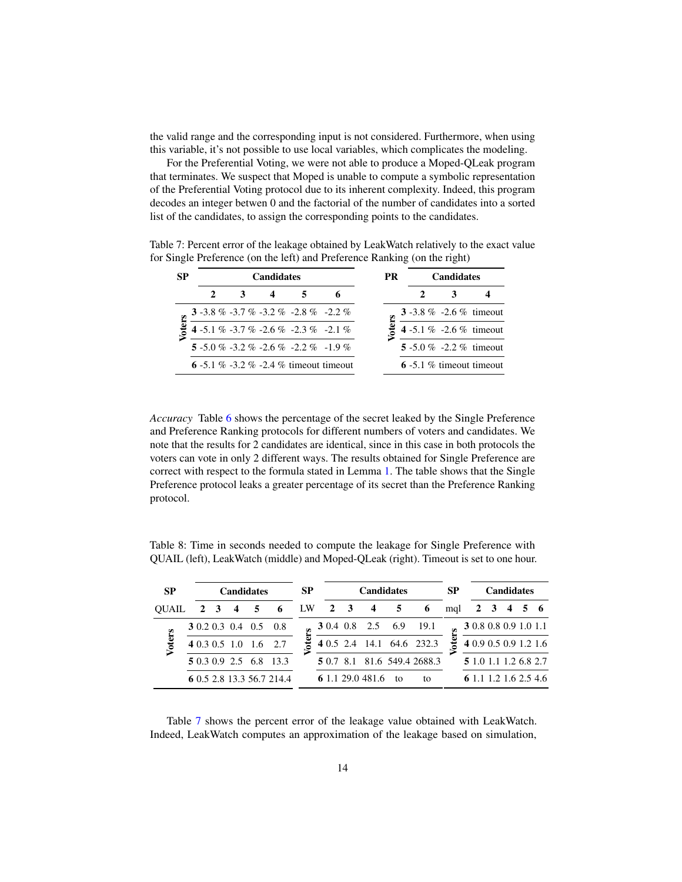the valid range and the corresponding input is not considered. Furthermore, when using this variable, it's not possible to use local variables, which complicates the modeling.

For the Preferential Voting, we were not able to produce a Moped-QLeak program that terminates. We suspect that Moped is unable to compute a symbolic representation of the Preferential Voting protocol due to its inherent complexity. Indeed, this program decodes an integer betwen 0 and the factorial of the number of candidates into a sorted list of the candidates, to assign the corresponding points to the candidates.

<span id="page-13-0"></span>Table 7: Percent error of the leakage obtained by LeakWatch relatively to the exact value for Single Preference (on the left) and Preference Ranking (on the right)

| SP | <b>Candidates</b> |   |  |  |                                        |  | РR | <b>Candidates</b> |                               |  |  |
|----|-------------------|---|--|--|----------------------------------------|--|----|-------------------|-------------------------------|--|--|
|    |                   | 3 |  |  |                                        |  |    |                   |                               |  |  |
|    |                   |   |  |  | 3 -3.8 % -3.7 % -3.2 % -2.8 % -2.2 %   |  |    |                   | 3 -3.8 $%$ -2.6 $%$ timeout   |  |  |
|    |                   |   |  |  | 4 -5.1 % -3.7 % -2.6 % -2.3 % -2.1 %   |  | ే  |                   | 4 -5.1 % -2.6 % timeout       |  |  |
|    |                   |   |  |  | 5 -5.0 % -3.2 % -2.6 % -2.2 % -1.9 %   |  |    |                   | 5 -5.0 $\%$ -2.2 $\%$ timeout |  |  |
|    |                   |   |  |  | 6 -5.1 % -3.2 % -2.4 % timeout timeout |  |    |                   | $6 - 5.1$ % timeout timeout   |  |  |

*Accuracy* Table [6](#page-12-0) shows the percentage of the secret leaked by the Single Preference and Preference Ranking protocols for different numbers of voters and candidates. We note that the results for 2 candidates are identical, since in this case in both protocols the voters can vote in only 2 different ways. The results obtained for Single Preference are correct with respect to the formula stated in Lemma [1.](#page-11-1) The table shows that the Single Preference protocol leaks a greater percentage of its secret than the Preference Ranking protocol.

<span id="page-13-1"></span>Table 8: Time in seconds needed to compute the leakage for Single Preference with QUAIL (left), LeakWatch (middle) and Moped-QLeak (right). Timeout is set to one hour.

| <b>SP</b><br><b>Candidates</b> |  |  |     |                         | SP                       | <b>Candidates</b>         |    |             |                      |     |                             | <b>Candidates</b> |                       |  |           |  |  |
|--------------------------------|--|--|-----|-------------------------|--------------------------|---------------------------|----|-------------|----------------------|-----|-----------------------------|-------------------|-----------------------|--|-----------|--|--|
| <b>OUAIL</b>                   |  |  | 2 3 | $\overline{\mathbf{4}}$ | 5                        | 6                         | LW | $2 \quad 3$ | $\overline{4}$       |     | 6                           | SP<br>mgl         |                       |  | 2 3 4 5 6 |  |  |
|                                |  |  |     |                         | <b>3</b> 0.2 0.3 0.4 0.5 | 0.8                       |    |             | <b>3</b> 0.4 0.8 2.5 | 6.9 | 19.1                        |                   | 3 0.8 0.8 0.9 1.0 1.1 |  |           |  |  |
| <b>Voters</b>                  |  |  |     | 4 0.3 0.5 1.0           | -1.6                     | 2.7                       |    |             |                      |     | 4 0.5 2.4 14.1 64.6 232.3   | e                 | 4 0.9 0.5 0.9 1.2 1.6 |  |           |  |  |
|                                |  |  |     |                         |                          | 5 0.3 0.9 2.5 6.8 13.3    |    |             |                      |     | 5 0.7 8.1 81.6 549.4 2688.3 |                   | 5 1.0 1.1 1.2 6.8 2.7 |  |           |  |  |
|                                |  |  |     |                         |                          | 6 0.5 2.8 13.3 56.7 214.4 |    |             | 6 1.1 29.0 481.6     | tο  | to                          |                   | 6 1.1 1.2 1.6 2.5 4.6 |  |           |  |  |

Table [7](#page-13-0) shows the percent error of the leakage value obtained with LeakWatch. Indeed, LeakWatch computes an approximation of the leakage based on simulation,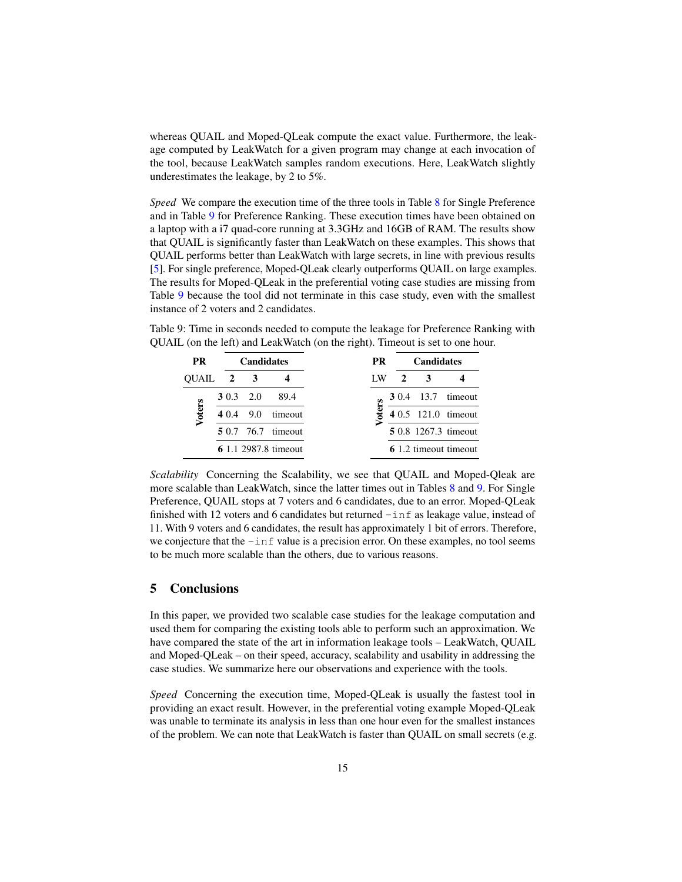whereas QUAIL and Moped-QLeak compute the exact value. Furthermore, the leakage computed by LeakWatch for a given program may change at each invocation of the tool, because LeakWatch samples random executions. Here, LeakWatch slightly underestimates the leakage, by 2 to 5%.

*Speed* We compare the execution time of the three tools in Table [8](#page-13-1) for Single Preference and in Table [9](#page-14-0) for Preference Ranking. These execution times have been obtained on a laptop with a i7 quad-core running at 3.3GHz and 16GB of RAM. The results show that QUAIL is significantly faster than LeakWatch on these examples. This shows that QUAIL performs better than LeakWatch with large secrets, in line with previous results [\[5\]](#page-16-3). For single preference, Moped-QLeak clearly outperforms QUAIL on large examples. The results for Moped-QLeak in the preferential voting case studies are missing from Table [9](#page-14-0) because the tool did not terminate in this case study, even with the smallest instance of 2 voters and 2 candidates.

<span id="page-14-0"></span>Table 9: Time in seconds needed to compute the leakage for Preference Ranking with QUAIL (on the left) and LeakWatch (on the right). Timeout is set to one hour.

| <b>PR</b> | <b>Candidates</b> |                             |                           | PR.                       |    |  |              | <b>Candidates</b> |                             |  |  |
|-----------|-------------------|-----------------------------|---------------------------|---------------------------|----|--|--------------|-------------------|-----------------------------|--|--|
| QUAIL     |                   | $\overline{2}$              | $\overline{\phantom{a}3}$ |                           | LW |  | $\mathbf{z}$ | 3                 |                             |  |  |
|           |                   |                             | 30.320                    | 89.4                      | ی  |  |              |                   | <b>3</b> 0.4 13.7 timeout   |  |  |
| Voters    |                   | 4 0.4                       | 9.0                       | timeout                   |    |  |              |                   | 4 0.5 121.0 timeout         |  |  |
|           |                   |                             |                           | <b>5</b> 0.7 76.7 timeout |    |  |              |                   | <b>5</b> 0.8 1267.3 timeout |  |  |
|           |                   | <b>6</b> 1.1 2987.8 timeout |                           |                           |    |  |              |                   | 6 1.2 timeout timeout       |  |  |

*Scalability* Concerning the Scalability, we see that QUAIL and Moped-Qleak are more scalable than LeakWatch, since the latter times out in Tables [8](#page-13-1) and [9.](#page-14-0) For Single Preference, QUAIL stops at 7 voters and 6 candidates, due to an error. Moped-QLeak finished with 12 voters and 6 candidates but returned  $-\text{inf}$  as leakage value, instead of 11. With 9 voters and 6 candidates, the result has approximately 1 bit of errors. Therefore, we conjecture that the  $-\text{inf}$  value is a precision error. On these examples, no tool seems to be much more scalable than the others, due to various reasons.

# 5 Conclusions

In this paper, we provided two scalable case studies for the leakage computation and used them for comparing the existing tools able to perform such an approximation. We have compared the state of the art in information leakage tools – LeakWatch, QUAIL and Moped-QLeak – on their speed, accuracy, scalability and usability in addressing the case studies. We summarize here our observations and experience with the tools.

*Speed* Concerning the execution time, Moped-QLeak is usually the fastest tool in providing an exact result. However, in the preferential voting example Moped-QLeak was unable to terminate its analysis in less than one hour even for the smallest instances of the problem. We can note that LeakWatch is faster than QUAIL on small secrets (e.g.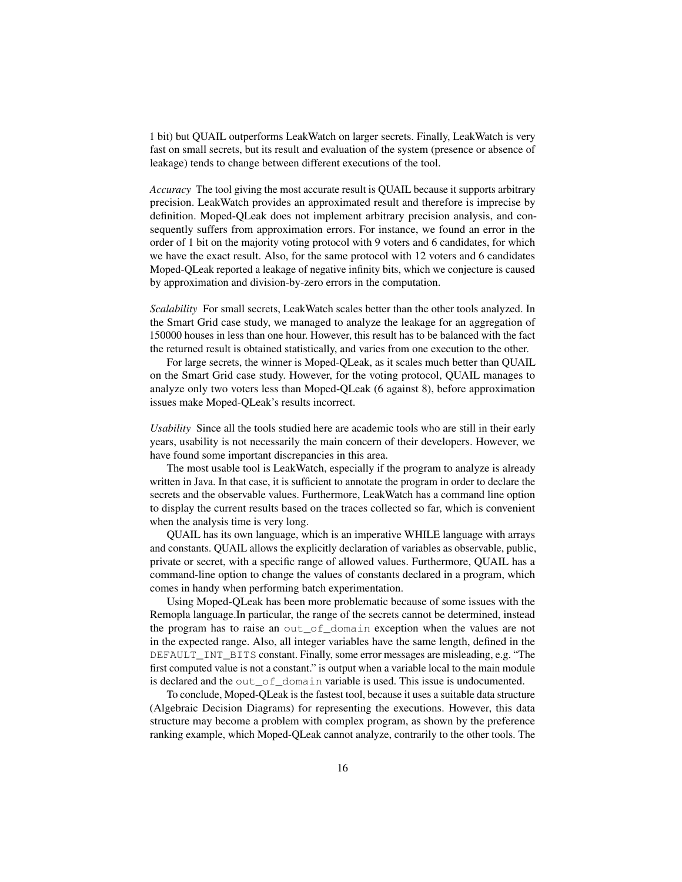1 bit) but QUAIL outperforms LeakWatch on larger secrets. Finally, LeakWatch is very fast on small secrets, but its result and evaluation of the system (presence or absence of leakage) tends to change between different executions of the tool.

*Accuracy* The tool giving the most accurate result is QUAIL because it supports arbitrary precision. LeakWatch provides an approximated result and therefore is imprecise by definition. Moped-QLeak does not implement arbitrary precision analysis, and consequently suffers from approximation errors. For instance, we found an error in the order of 1 bit on the majority voting protocol with 9 voters and 6 candidates, for which we have the exact result. Also, for the same protocol with 12 voters and 6 candidates Moped-QLeak reported a leakage of negative infinity bits, which we conjecture is caused by approximation and division-by-zero errors in the computation.

*Scalability* For small secrets, LeakWatch scales better than the other tools analyzed. In the Smart Grid case study, we managed to analyze the leakage for an aggregation of 150000 houses in less than one hour. However, this result has to be balanced with the fact the returned result is obtained statistically, and varies from one execution to the other.

For large secrets, the winner is Moped-QLeak, as it scales much better than QUAIL on the Smart Grid case study. However, for the voting protocol, QUAIL manages to analyze only two voters less than Moped-QLeak (6 against 8), before approximation issues make Moped-QLeak's results incorrect.

*Usability* Since all the tools studied here are academic tools who are still in their early years, usability is not necessarily the main concern of their developers. However, we have found some important discrepancies in this area.

The most usable tool is LeakWatch, especially if the program to analyze is already written in Java. In that case, it is sufficient to annotate the program in order to declare the secrets and the observable values. Furthermore, LeakWatch has a command line option to display the current results based on the traces collected so far, which is convenient when the analysis time is very long.

QUAIL has its own language, which is an imperative WHILE language with arrays and constants. QUAIL allows the explicitly declaration of variables as observable, public, private or secret, with a specific range of allowed values. Furthermore, QUAIL has a command-line option to change the values of constants declared in a program, which comes in handy when performing batch experimentation.

Using Moped-QLeak has been more problematic because of some issues with the Remopla language.In particular, the range of the secrets cannot be determined, instead the program has to raise an out\_of\_domain exception when the values are not in the expected range. Also, all integer variables have the same length, defined in the DEFAULT\_INT\_BITS constant. Finally, some error messages are misleading, e.g. "The first computed value is not a constant." is output when a variable local to the main module is declared and the out  $of$  domain variable is used. This issue is undocumented.

To conclude, Moped-QLeak is the fastest tool, because it uses a suitable data structure (Algebraic Decision Diagrams) for representing the executions. However, this data structure may become a problem with complex program, as shown by the preference ranking example, which Moped-QLeak cannot analyze, contrarily to the other tools. The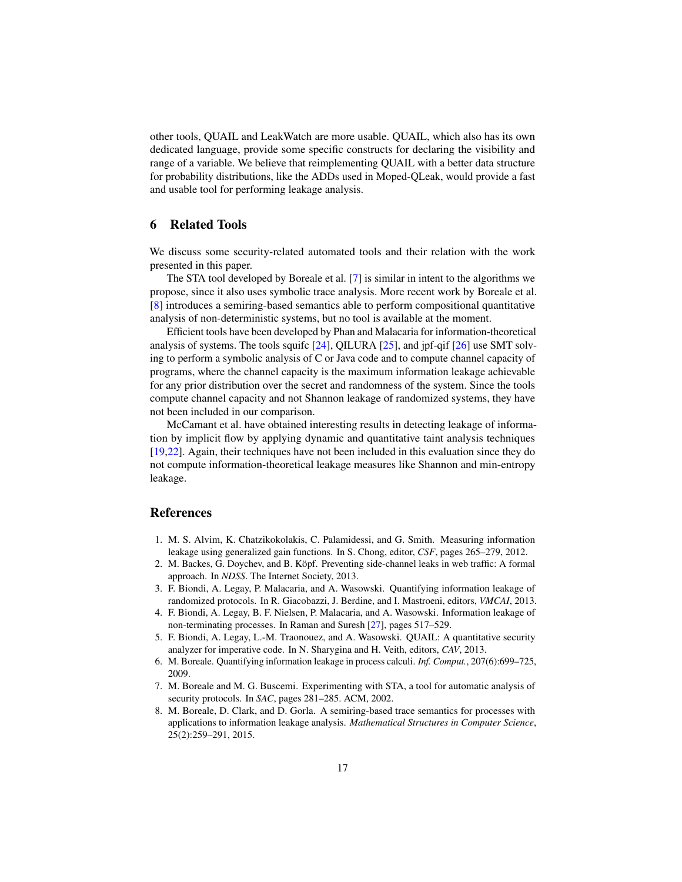other tools, QUAIL and LeakWatch are more usable. QUAIL, which also has its own dedicated language, provide some specific constructs for declaring the visibility and range of a variable. We believe that reimplementing QUAIL with a better data structure for probability distributions, like the ADDs used in Moped-QLeak, would provide a fast and usable tool for performing leakage analysis.

### 6 Related Tools

We discuss some security-related automated tools and their relation with the work presented in this paper.

The STA tool developed by Boreale et al. [\[7\]](#page-16-6) is similar in intent to the algorithms we propose, since it also uses symbolic trace analysis. More recent work by Boreale et al. [\[8\]](#page-16-7) introduces a semiring-based semantics able to perform compositional quantitative analysis of non-deterministic systems, but no tool is available at the moment.

Efficient tools have been developed by Phan and Malacaria for information-theoretical analysis of systems. The tools squifc  $[24]$ , QILURA  $[25]$ , and jpf-qif  $[26]$  use SMT solving to perform a symbolic analysis of C or Java code and to compute channel capacity of programs, where the channel capacity is the maximum information leakage achievable for any prior distribution over the secret and randomness of the system. Since the tools compute channel capacity and not Shannon leakage of randomized systems, they have not been included in our comparison.

McCamant et al. have obtained interesting results in detecting leakage of information by implicit flow by applying dynamic and quantitative taint analysis techniques [\[19,](#page-17-18)[22\]](#page-17-19). Again, their techniques have not been included in this evaluation since they do not compute information-theoretical leakage measures like Shannon and min-entropy leakage.

# References

- <span id="page-16-0"></span>1. M. S. Alvim, K. Chatzikokolakis, C. Palamidessi, and G. Smith. Measuring information leakage using generalized gain functions. In S. Chong, editor, *CSF*, pages 265–279, 2012.
- <span id="page-16-1"></span>2. M. Backes, G. Doychev, and B. Köpf. Preventing side-channel leaks in web traffic: A formal approach. In *NDSS*. The Internet Society, 2013.
- <span id="page-16-4"></span>3. F. Biondi, A. Legay, P. Malacaria, and A. Wasowski. Quantifying information leakage of randomized protocols. In R. Giacobazzi, J. Berdine, and I. Mastroeni, editors, *VMCAI*, 2013.
- <span id="page-16-5"></span>4. F. Biondi, A. Legay, B. F. Nielsen, P. Malacaria, and A. Wasowski. Information leakage of non-terminating processes. In Raman and Suresh [\[27\]](#page-17-20), pages 517–529.
- <span id="page-16-3"></span>5. F. Biondi, A. Legay, L.-M. Traonouez, and A. Wasowski. QUAIL: A quantitative security analyzer for imperative code. In N. Sharygina and H. Veith, editors, *CAV*, 2013.
- <span id="page-16-2"></span>6. M. Boreale. Quantifying information leakage in process calculi. *Inf. Comput.*, 207(6):699–725, 2009.
- <span id="page-16-6"></span>7. M. Boreale and M. G. Buscemi. Experimenting with STA, a tool for automatic analysis of security protocols. In *SAC*, pages 281–285. ACM, 2002.
- <span id="page-16-7"></span>8. M. Boreale, D. Clark, and D. Gorla. A semiring-based trace semantics for processes with applications to information leakage analysis. *Mathematical Structures in Computer Science*, 25(2):259–291, 2015.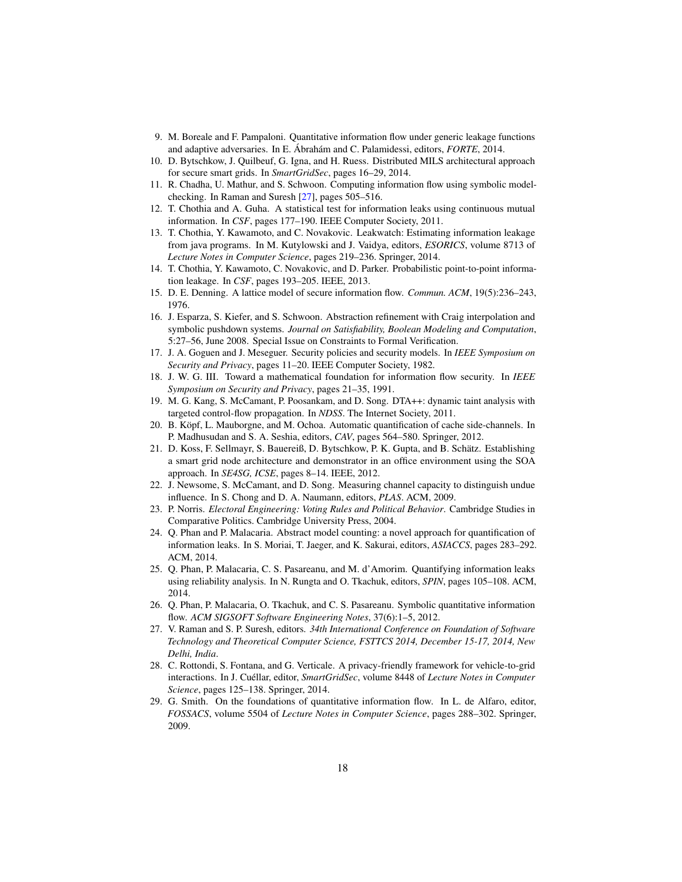- <span id="page-17-5"></span>9. M. Boreale and F. Pampaloni. Quantitative information flow under generic leakage functions and adaptive adversaries. In E. Ábrahám and C. Palamidessi, editors, *FORTE*, 2014.
- <span id="page-17-13"></span>10. D. Bytschkow, J. Quilbeuf, G. Igna, and H. Ruess. Distributed MILS architectural approach for secure smart grids. In *SmartGridSec*, pages 16–29, 2014.
- <span id="page-17-7"></span>11. R. Chadha, U. Mathur, and S. Schwoon. Computing information flow using symbolic modelchecking. In Raman and Suresh [\[27\]](#page-17-20), pages 505–516.
- <span id="page-17-9"></span>12. T. Chothia and A. Guha. A statistical test for information leaks using continuous mutual information. In *CSF*, pages 177–190. IEEE Computer Society, 2011.
- <span id="page-17-6"></span>13. T. Chothia, Y. Kawamoto, and C. Novakovic. Leakwatch: Estimating information leakage from java programs. In M. Kutylowski and J. Vaidya, editors, *ESORICS*, volume 8713 of *Lecture Notes in Computer Science*, pages 219–236. Springer, 2014.
- <span id="page-17-10"></span>14. T. Chothia, Y. Kawamoto, C. Novakovic, and D. Parker. Probabilistic point-to-point information leakage. In *CSF*, pages 193–205. IEEE, 2013.
- <span id="page-17-1"></span>15. D. E. Denning. A lattice model of secure information flow. *Commun. ACM*, 19(5):236–243, 1976.
- <span id="page-17-11"></span>16. J. Esparza, S. Kiefer, and S. Schwoon. Abstraction refinement with Craig interpolation and symbolic pushdown systems. *Journal on Satisfiability, Boolean Modeling and Computation*, 5:27–56, June 2008. Special Issue on Constraints to Formal Verification.
- <span id="page-17-0"></span>17. J. A. Goguen and J. Meseguer. Security policies and security models. In *IEEE Symposium on Security and Privacy*, pages 11–20. IEEE Computer Society, 1982.
- <span id="page-17-2"></span>18. J. W. G. III. Toward a mathematical foundation for information flow security. In *IEEE Symposium on Security and Privacy*, pages 21–35, 1991.
- <span id="page-17-18"></span>19. M. G. Kang, S. McCamant, P. Poosankam, and D. Song. DTA++: dynamic taint analysis with targeted control-flow propagation. In *NDSS*. The Internet Society, 2011.
- <span id="page-17-4"></span>20. B. Köpf, L. Mauborgne, and M. Ochoa. Automatic quantification of cache side-channels. In P. Madhusudan and S. A. Seshia, editors, *CAV*, pages 564–580. Springer, 2012.
- <span id="page-17-12"></span>21. D. Koss, F. Sellmayr, S. Bauereiß, D. Bytschkow, P. K. Gupta, and B. Schätz. Establishing a smart grid node architecture and demonstrator in an office environment using the SOA approach. In *SE4SG, ICSE*, pages 8–14. IEEE, 2012.
- <span id="page-17-19"></span>22. J. Newsome, S. McCamant, and D. Song. Measuring channel capacity to distinguish undue influence. In S. Chong and D. A. Naumann, editors, *PLAS*. ACM, 2009.
- <span id="page-17-15"></span>23. P. Norris. *Electoral Engineering: Voting Rules and Political Behavior*. Cambridge Studies in Comparative Politics. Cambridge University Press, 2004.
- <span id="page-17-8"></span>24. Q. Phan and P. Malacaria. Abstract model counting: a novel approach for quantification of information leaks. In S. Moriai, T. Jaeger, and K. Sakurai, editors, *ASIACCS*, pages 283–292. ACM, 2014.
- <span id="page-17-16"></span>25. Q. Phan, P. Malacaria, C. S. Pasareanu, and M. d'Amorim. Quantifying information leaks using reliability analysis. In N. Rungta and O. Tkachuk, editors, *SPIN*, pages 105–108. ACM, 2014.
- <span id="page-17-17"></span>26. Q. Phan, P. Malacaria, O. Tkachuk, and C. S. Pasareanu. Symbolic quantitative information flow. *ACM SIGSOFT Software Engineering Notes*, 37(6):1–5, 2012.
- <span id="page-17-20"></span>27. V. Raman and S. P. Suresh, editors. *34th International Conference on Foundation of Software Technology and Theoretical Computer Science, FSTTCS 2014, December 15-17, 2014, New Delhi, India*.
- <span id="page-17-14"></span>28. C. Rottondi, S. Fontana, and G. Verticale. A privacy-friendly framework for vehicle-to-grid interactions. In J. Cuéllar, editor, *SmartGridSec*, volume 8448 of *Lecture Notes in Computer Science*, pages 125–138. Springer, 2014.
- <span id="page-17-3"></span>29. G. Smith. On the foundations of quantitative information flow. In L. de Alfaro, editor, *FOSSACS*, volume 5504 of *Lecture Notes in Computer Science*, pages 288–302. Springer, 2009.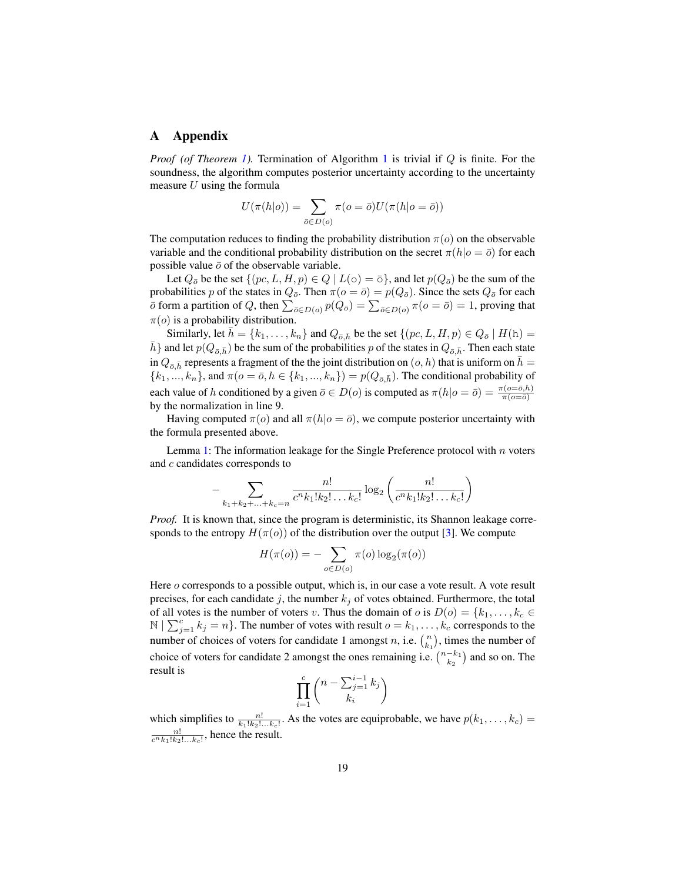#### A Appendix

*Proof (of Theorem [1\)](#page-6-1).* Termination of Algorithm [1](#page-6-0) is trivial if Q is finite. For the soundness, the algorithm computes posterior uncertainty according to the uncertainty measure  $U$  using the formula

$$
U(\pi(h|o)) = \sum_{\bar{o} \in D(o)} \pi(o = \bar{o}) U(\pi(h|o = \bar{o}))
$$

The computation reduces to finding the probability distribution  $\pi(o)$  on the observable variable and the conditional probability distribution on the secret  $\pi(h|o = \overline{o})$  for each possible value  $\bar{o}$  of the observable variable.

Let  $Q_{\bar{o}}$  be the set  $\{(pc, L, H, p) \in Q \mid L(\circ) = \bar{\circ}\}\$ , and let  $p(Q_{\bar{o}})$  be the sum of the probabilities p of the states in  $Q_{\bar{o}}$ . Then  $\pi(o = \bar{o}) = p(Q_{\bar{o}})$ . Since the sets  $Q_{\bar{o}}$  for each  $\bar{o}$  form a partition of Q, then  $\sum_{\bar{o}\in D(o)} p(Q_{\bar{o}}) = \sum_{\bar{o}\in D(o)} \pi(o = \bar{o}) = 1$ , proving that  $\pi(o)$  is a probability distribution.

Similarly, let  $\bar{h} = \{k_1, \ldots, k_n\}$  and  $Q_{\bar{o}, \bar{h}}$  be the set  $\{(pc, L, H, p) \in Q_{\bar{o}} \mid H(h) =$  $\bar{h}$  and let  $p(Q_{\bar{o},\bar{h}})$  be the sum of the probabilities p of the states in  $Q_{\bar{o},\bar{h}}$ . Then each state in  $Q_{\bar{o},\bar{h}}$  represents a fragment of the the joint distribution on  $(o, h)$  that is uniform on  $\bar{h}$  =  ${k_1,...,k_n}$ , and  $\pi(o = \overline{o}, h \in {k_1,...,k_n}) = p(Q_{\overline{o},\overline{h}})$ . The conditional probability of each value of h conditioned by a given  $\bar{o} \in D(o)$  is computed as  $\pi(h|o = \bar{o}) = \frac{\pi(o = \bar{o}, h)}{\pi(o = \bar{o})}$ by the normalization in line 9.

Having computed  $\pi(o)$  and all  $\pi(h|o = \overline{o})$ , we compute posterior uncertainty with the formula presented above.

Lemma [1:](#page-11-1) The information leakage for the Single Preference protocol with  $n$  voters and c candidates corresponds to

$$
- \sum_{k_1 + k_2 + \ldots + k_c = n} \frac{n!}{c^n k_1! k_2! \ldots k_c!} \log_2 \left( \frac{n!}{c^n k_1! k_2! \ldots k_c!} \right)
$$

*Proof.* It is known that, since the program is deterministic, its Shannon leakage corresponds to the entropy  $H(\pi(o))$  of the distribution over the output [\[3\]](#page-16-4). We compute

$$
H(\pi(o)) = -\sum_{o \in D(o)} \pi(o) \log_2(\pi(o))
$$

Here *o* corresponds to a possible output, which is, in our case a vote result. A vote result precises, for each candidate j, the number  $k_i$  of votes obtained. Furthermore, the total of all votes is the number of voters v. Thus the domain of o is  $D(o) = \{k_1, \ldots, k_c \in$  $\mathbb{N} \mid \sum_{j=1}^{c} k_j = n$ . The number of votes with result  $o = k_1, \ldots, k_c$  corresponds to the number of choices of voters for candidate 1 amongst n, i.e.  $\binom{n}{k_1}$ , times the number of choice of voters for candidate 2 amongst the ones remaining i.e.  $\binom{n-k_1}{k_2}$  and so on. The result is

$$
\prod_{i=1}^{c} \binom{n-\sum_{j=1}^{i-1} k_j}{k_i}
$$

which simplifies to  $\frac{n!}{k_1! k_2! \dots k_c!}$ . As the votes are equiprobable, we have  $p(k_1, \dots, k_c)$  =  $\frac{n!}{c^n k_1! k_2! \dots k_c!}$ , hence the result.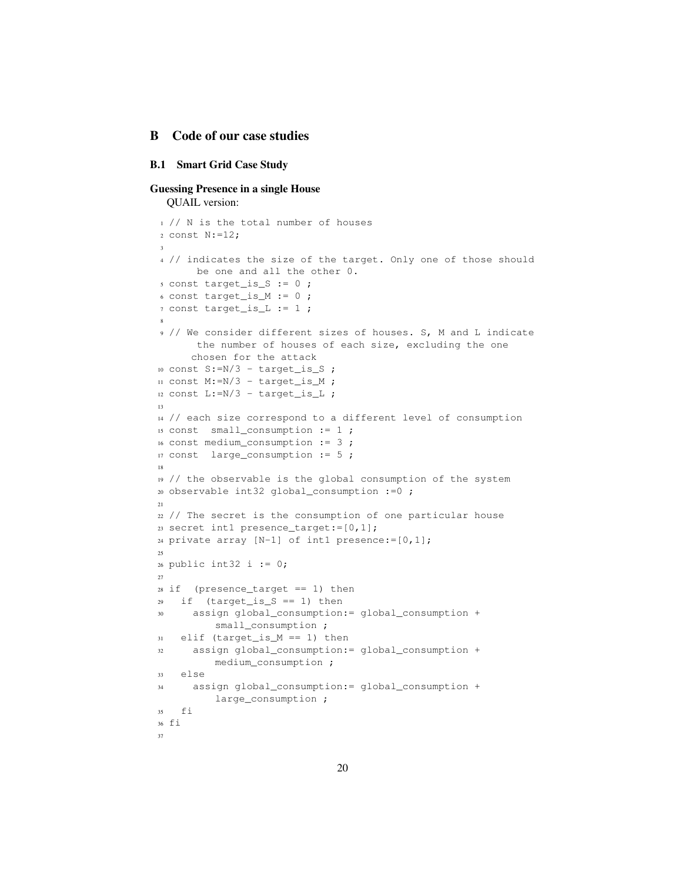# B Code of our case studies

### B.1 Smart Grid Case Study

#### Guessing Presence in a single House

QUAIL version:

```
1 // N is the total number of houses
2 const N:=12;
3
4 // indicates the size of the target. Only one of those should
      be one and all the other 0.
5 const target_is_S := 0 ;
6 const target_is_M := 0 ;
7 const target_is_L := 1 ;
8
9 // We consider different sizes of houses. S, M and L indicate
      the number of houses of each size, excluding the one
     chosen for the attack
10 const S:=N/3 - \text{target_isS};
11 const M:=N/3 - target_is_M ;
12 const L:=N/3 - target_is_L ;
13
14 // each size correspond to a different level of consumption
15 const small_consumption := 1 ;
16 const medium_consumption := 3 ;
17 const large_consumption := 5 ;
18
19 // the observable is the global consumption of the system
20 observable int32 global_consumption :=0 ;
21
22 // The secret is the consumption of one particular house
23 secret int1 presence_target:=[0,1];
24 private array [N-1] of int1 presence:=[0,1];
25
26 public int32 i := 0;
27
28 if (presence_target == 1) then
29 if (target_is_S == 1) then
30 assign global_consumption:= global_consumption +
         small_consumption ;
31 elif (target_is_M == 1) then
32 assign global_consumption:= global_consumption +
         medium_consumption ;
33 \quad \text{else}34 assign global_consumption:= global_consumption +
          large_consumption ;
35 fi
36 fi
37
```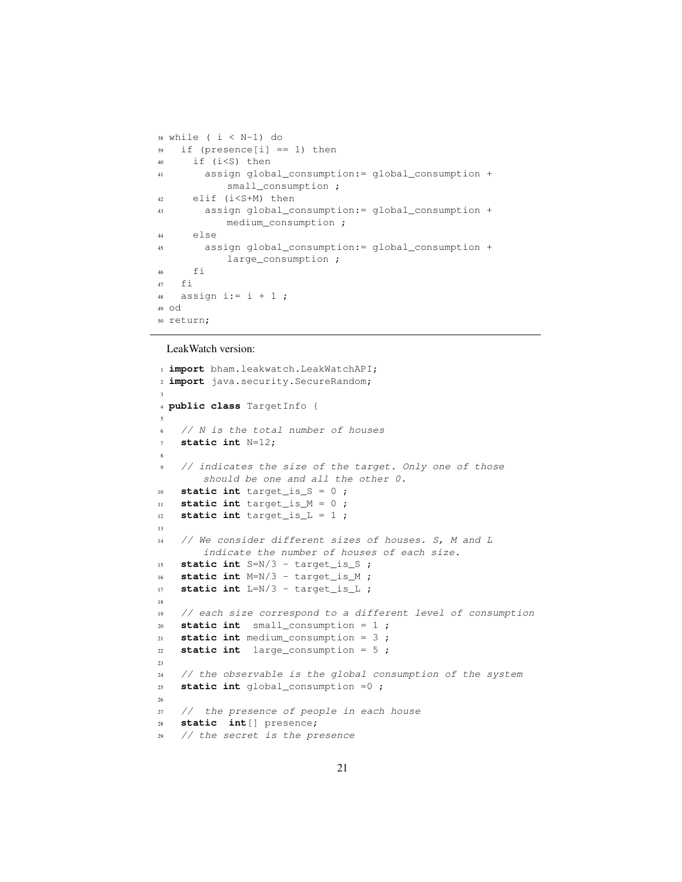```
38 while ( i < N-1) do
39 if (presence[i] == 1) then
40 if (i<S) then
41 assign global_consumption:= global_consumption +
          small_consumption ;
42 elif (i<S+M) then
43 assign global_consumption:= global_consumption +
          medium_consumption ;
44 else
45 assign global_consumption:= global_consumption +
          large_consumption ;
46 fi
47 fi
48 assign i:= i + 1;
49 od
50 return;
```
LeakWatch version:

```
1 import bham.leakwatch.LeakWatchAPI;
2 import java.security.SecureRandom;
3
4 public class TargetInfo {
5
6 // N is the total number of houses
7 static int N=12;
8
9 // indicates the size of the target. Only one of those
       should be one and all the other 0.
10 static int target_is_S = 0 ;
11 static int target_is_M = 0 ;
12 static int target_is_L = 1 ;
13
14 // We consider different sizes of houses. S, M and L
       indicate the number of houses of each size.
15 static int S=N/3 - target_is_S ;
16 static int M=N/3 - target_is_M ;
17 static int L=N/3 - target_is_L ;
18
19 // each size correspond to a different level of consumption
20 static int small_consumption = 1 ;
21 static int medium_consumption = 3 ;
22 static int large_consumption = 5 ;
23
24 // the observable is the global consumption of the system
25 static int global_consumption =0 ;
26
27 // the presence of people in each house
28 static int[] presence;
29 // the secret is the presence
```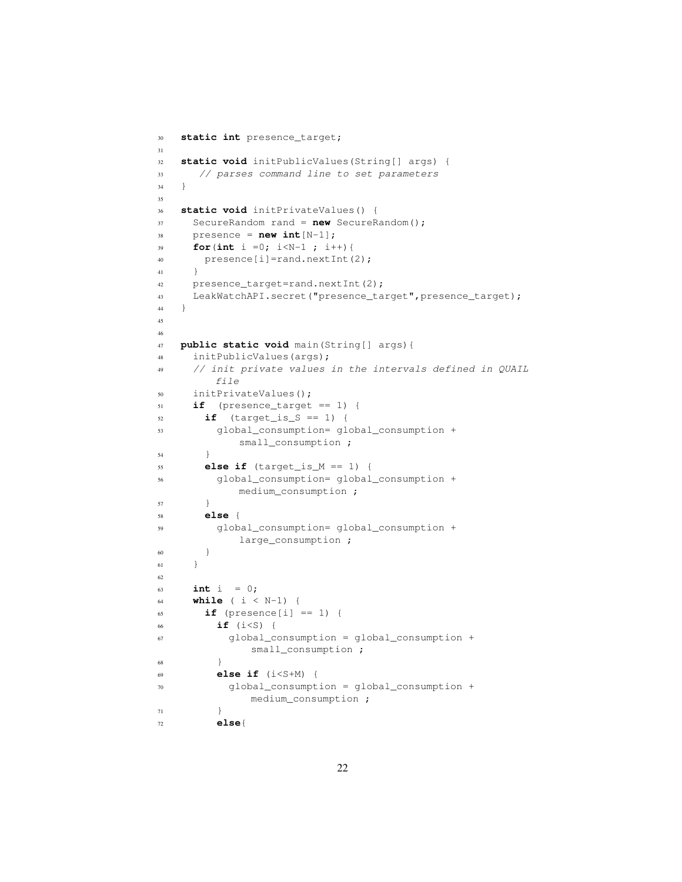```
30 static int presence_target;
31
32 static void initPublicValues(String[] args) {
33 // parses command line to set parameters
34 }
35
36 static void initPrivateValues() {
37 SecureRandom rand = new SecureRandom();
38 presence = new int[N-1];39 for(int i =0; i<N-1 ; i++){
40 presence[i]=rand.nextInt(2);
41 }
42 presence_target=rand.nextInt(2);
43 LeakWatchAPI.secret("presence_target",presence_target);
44 }
45
46
47 public static void main(String[] args){
48 initPublicValues(args);
49 // init private values in the intervals defined in QUAIL
        file
50 initPrivateValues();
51 if (presence_target == 1) {
52 if (target_is_S == 1) {
53 global_consumption= global_consumption +
            small_consumption ;
54 }
55 else if (target_is_M == 1) {
56 global_consumption= global_consumption +
            medium_consumption ;
57 }
58 else {
59 global_consumption= global_consumption +
            large_consumption ;
60 }
61 }
62
63 int i = 0;64 while ( i < N-1) {
65 if (presence[i] == 1) {
66 if (i<S) {
67 global_consumption = global_consumption +
             small_consumption ;
68 }
69 else if (i<S+M) {
70 global_consumption = global_consumption +
             medium_consumption ;
71 }
72 else{
```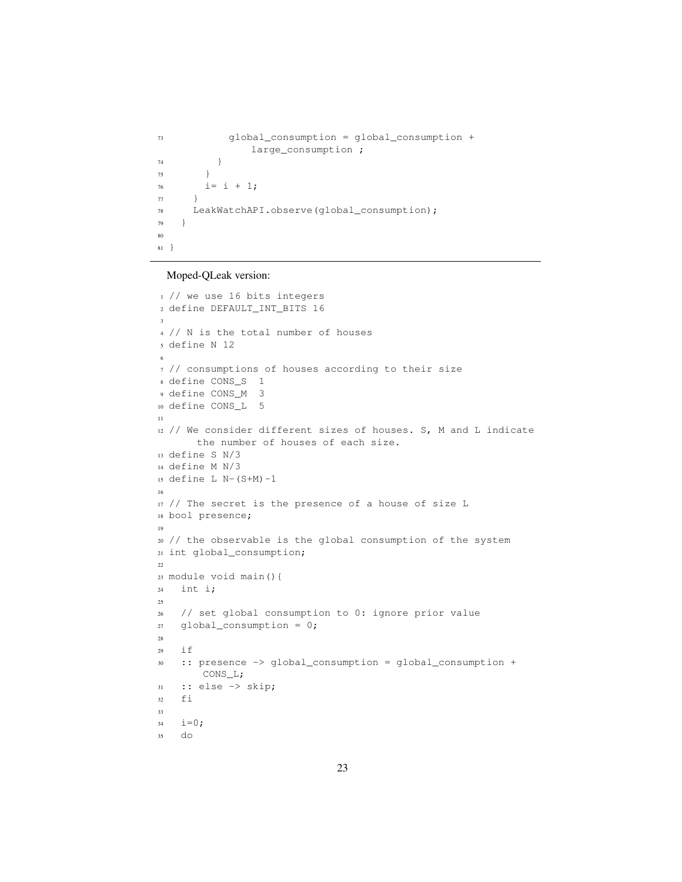```
73 global_consumption = global_consumption +
             large_consumption ;
74 }
75 }
76 i= i + 1;77 }
78 LeakWatchAPI.observe(global_consumption);
79 }
80
81 }
```
#### Moped-QLeak version:

```
1 // we use 16 bits integers
2 define DEFAULT_INT_BITS 16
3
4 // N is the total number of houses
5 define N 12
6
7 // consumptions of houses according to their size
8 define CONS_S 1
9 define CONS_M 3
10 define CONS_L 5
11
12 // We consider different sizes of houses. S, M and L indicate
      the number of houses of each size.
13 define S N/3
14 define M N/3
15 define L N-(S+M)-1
16
17 // The secret is the presence of a house of size L
18 bool presence;
19
20 // the observable is the global consumption of the system
21 int global_consumption;
22
23 module void main(){
24 int i;
25
26 // set global consumption to 0: ignore prior value
27 global_consumption = 0;
28
29 if
30 :: presence -> global_consumption = global_consumption +
       CONS_L;
31 :: else -> skip;
32 fi
33
i=0;35 do
```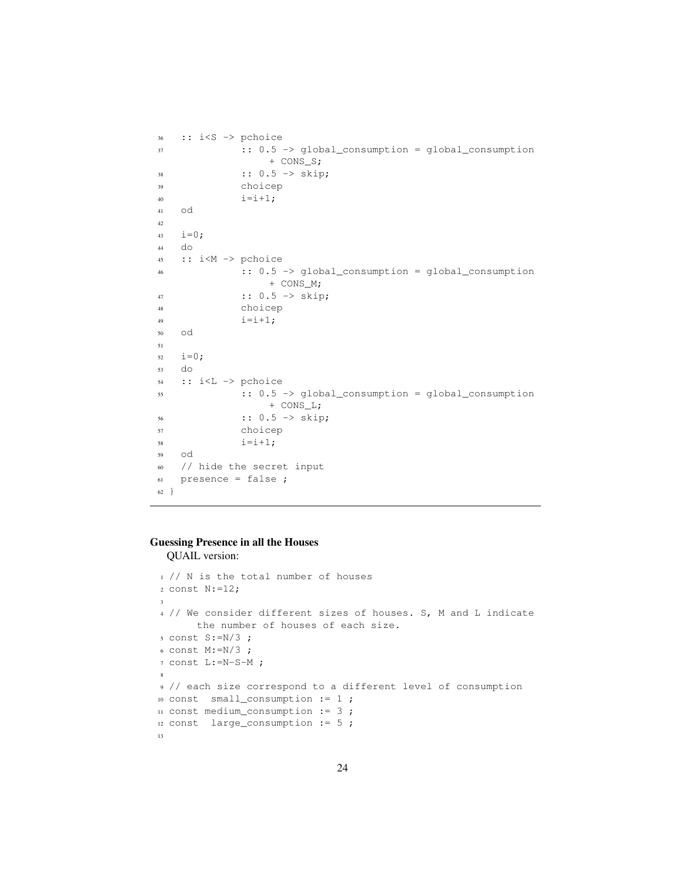```
36 :: i<S -> pchoice
37 :: 0.5 -> global_consumption = global_consumption
              + CONS_S;
38 :: 0.5 -> skip;
39 choicep
40 i=i+1;41 od
42
43 i=0;44 do
45 :: i<M -> pchoice
46 :: 0.5 -> global_consumption = global_consumption
              + CONS_M;
47 :: 0.5 -> skip;
48 choicep
49 i=1+1;50 od
51
52 i=0;53 do
54 :: i<L -> pchoice
55 :: 0.5 -> global_consumption = global_consumption
              + CONS_L;
56 :: 0.5 -> skip;
57 choicep
58 i=i+1;59 od
60 // hide the secret input
61 presence = false ;
62 }
```
# Guessing Presence in all the Houses QUAIL version:

```
1 // N is the total number of houses
2 const N:=12;
3
4 // We consider different sizes of houses. S, M and L indicate
      the number of houses of each size.
s const S:=N/3;
6 const M:=N/3;
7 const L:=N-S-M ;
8
9 // each size correspond to a different level of consumption
10 const small_consumption := 1 ;
11 const medium_consumption := 3 ;
12 const large_consumption := 5;
13
```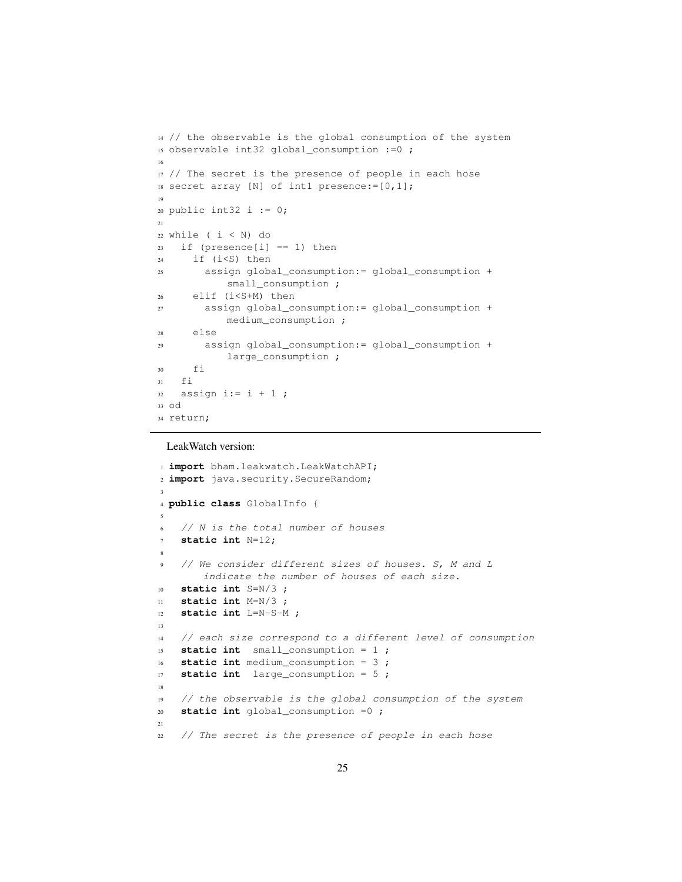```
14 // the observable is the global consumption of the system
15 observable int32 global_consumption :=0 ;
16
17 // The secret is the presence of people in each hose
18 secret array [N] of int1 presence:=[0,1];
19
20 public int32 i := 0;
21
22 while ( i < N) do
23 if (presence[i] == 1) then
24 if (i<S) then
25 assign global_consumption:= global_consumption +
           small_consumption ;
26 elif (i<S+M) then
27 assign global_consumption:= global_consumption +
           medium_consumption ;
28 else
29 assign global_consumption:= global_consumption +
           large_consumption ;
30 \quad \text{f}31 fi
32 assign i:= i + 1;
33 od
34 return;
```
LeakWatch version:

```
1 import bham.leakwatch.LeakWatchAPI;
2 import java.security.SecureRandom;
3
4 public class GlobalInfo {
5
   // N is the total number of houses
7 static int N=12;
8
9 // We consider different sizes of houses. S, M and L
       indicate the number of houses of each size.
10 static int S=N/3 ;
11 static int M=N/3 ;
12 static int L=N-S-M ;
13
14 // each size correspond to a different level of consumption
15 static int small_consumption = 1 ;
16 static int medium_consumption = 3 ;
17 static int large_consumption = 5 ;
18
19 // the observable is the global consumption of the system
20 static int global_consumption =0 ;
21
22 // The secret is the presence of people in each hose
```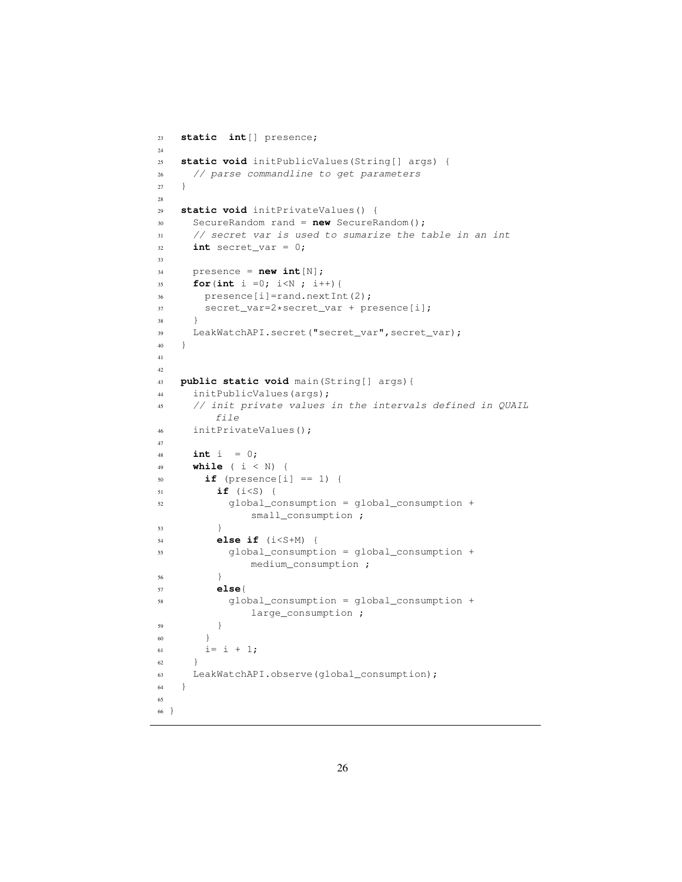```
23 static int[] presence;
24
25 static void initPublicValues(String[] args) {
26 // parse commandline to get parameters
27 }
28
29 static void initPrivateValues() {
30 SecureRandom rand = new SecureRandom();
31 // secret var is used to sumarize the table in an int
32 int secret_var = 0;
33
34 presence = new int [N];
35 for(int i =0; i<N ; i++){
36 presence[i]=rand.nextInt(2);
37 secret_var=2*secret_var + presence[i];
38 }
39 LeakWatchAPI.secret("secret_var",secret_var);
40 }
41
42
43 public static void main(String[] args){
44 initPublicValues(args);
45 // init private values in the intervals defined in QUAIL
        file
46 initPrivateValues();
47
48 int i = 0;
49 while ( i < N) {
50 if (presence[i] == 1) {
51 if (i<S) {
52 global_consumption = global_consumption +
              small_consumption ;
53 }
54 else if (i<S+M) {
55 global_consumption = global_consumption +
              medium_consumption ;
56 }
57 else{
58 global_consumption = global_consumption +
             large_consumption ;
59 \Big\}60 }
61 i = i + 1;62 }
63 LeakWatchAPI.observe(global_consumption);
64 }
65
66 }
```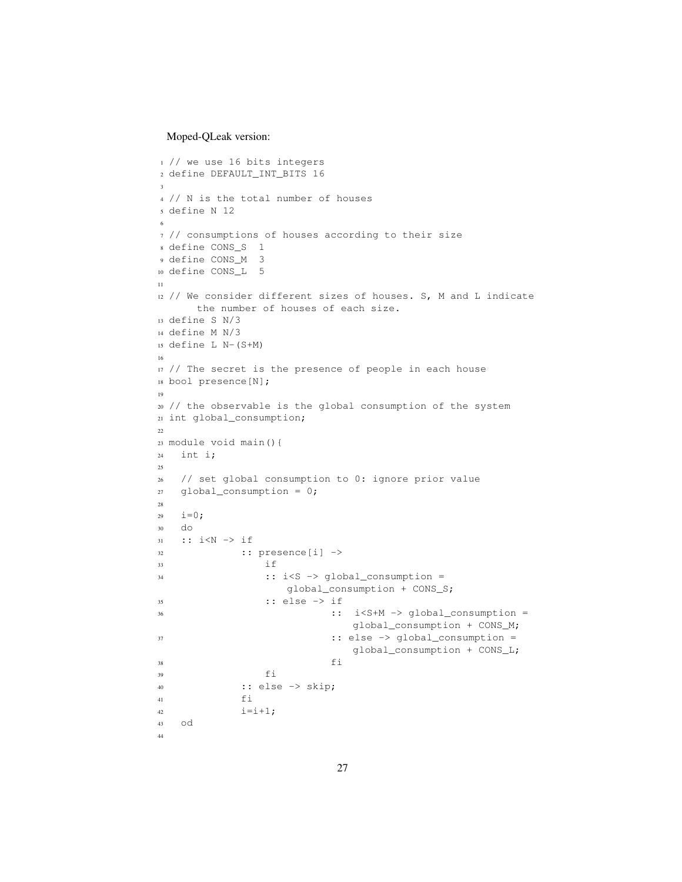#### Moped-QLeak version:

```
1 // we use 16 bits integers
2 define DEFAULT_INT_BITS 16
3
4 // N is the total number of houses
5 define N 12
6
7 // consumptions of houses according to their size
8 define CONS_S 1
9 define CONS_M 3
10 define CONS_L 5
11
12 // We consider different sizes of houses. S, M and L indicate
     the number of houses of each size.
13 define S N/3
14 define M N/3
15 define L N-(S+M)16
17 // The secret is the presence of people in each house
18 bool presence[N];
19
20 // the observable is the global consumption of the system
21 int global_consumption;
22
23 module void main(){
24 int i;
25
26 // set global consumption to 0: ignore prior value
27 global_consumption = 0;
28
29 i=0;30 do
31 :: i<N -> if
32 :: presence[i] ->
\frac{1}{1}f34 :: i<S -> global_consumption =
                   global_consumption + CONS_S;
35 :: else -> if
36 :: i<S+M -> global_consumption =
                            global_consumption + CONS_M;
37 :: else -> global_consumption =
                            global_consumption + CONS_L;
38 fi
39 fi
40 :: else -> skip;
f1 fi
42 i=i+1;43 od
44
```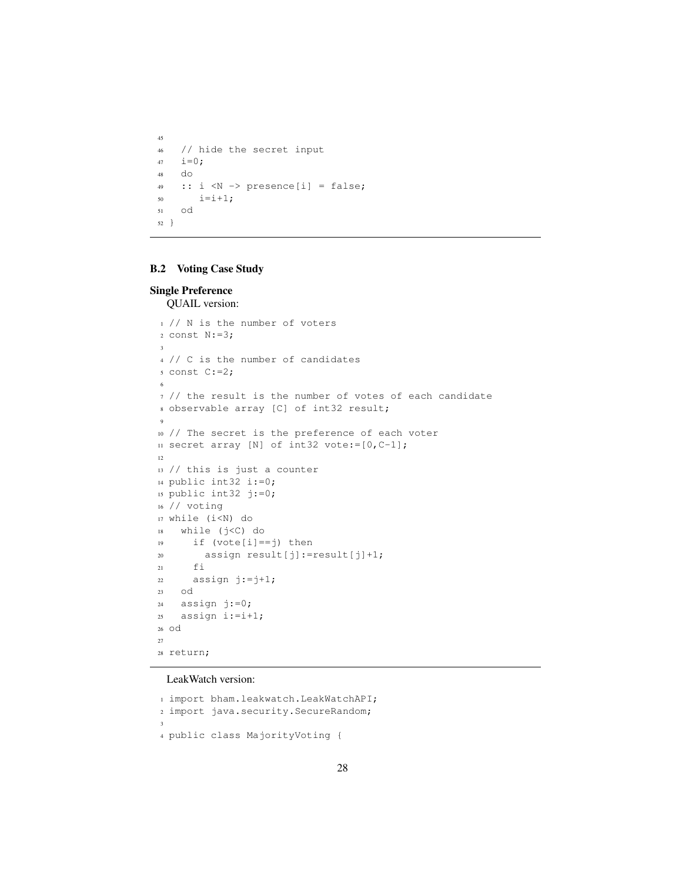```
45
46 // hide the secret input
47 i=0;48 do
49 :: i \langle N \rangle -> presence[i] = false;
50 i=i+1;51 od
52 }
```
# B.2 Voting Case Study

### Single Preference

QUAIL version:

```
1 // N is the number of voters
2 const N:=3;
3
4 // C is the number of candidates
5 const C:=2;
6
7 // the result is the number of votes of each candidate
8 observable array [C] of int32 result;
9
10 // The secret is the preference of each voter
11 secret array [N] of int32 vote:=[0,C-1];
12
13 // this is just a counter
14 public int32 i:=0;
15 public int32 j:=0;
16 // voting
17 while (i<N) do
18 while (j<C) do
19 if (vote[i]==j) then
20 assign result[j]:=result[j]+1;
21 fi
22 assign j:=j+1;23 od
24 assign j:=0;
25 assign i:=i+1;26 od
27
28 return;
```
LeakWatch version:

```
1 import bham.leakwatch.LeakWatchAPI;
2 import java.security.SecureRandom;
3
4 public class MajorityVoting {
```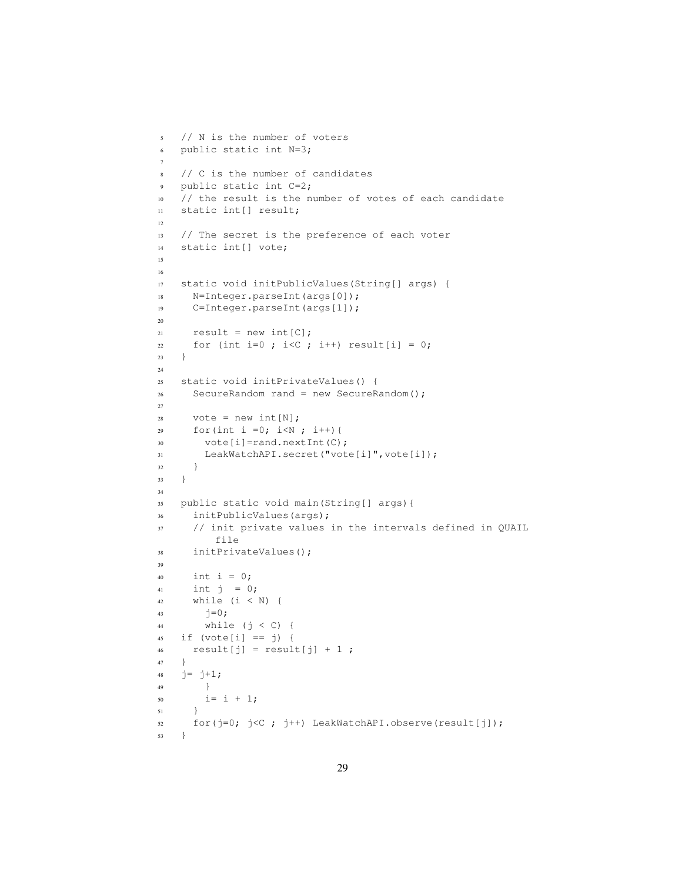```
5 // N is the number of voters
6 public static int N=3;
7
8 // C is the number of candidates
9 public static int C=2;
10 // the result is the number of votes of each candidate
11 static int[] result;
12
13 // The secret is the preference of each voter
14 static int[] vote;
15
16
17 static void initPublicValues(String[] args) {
18 N=Integer.parseInt(args[0]);
19 C=Integer.parseInt(args[1]);
20
21 result = new int[C];
22 for (int i=0; i<C; i++) result[i] = 0;
23 }
24
25 static void initPrivateValues() {
26 SecureRandom rand = new SecureRandom();
27
28 vote = new int [N];
29 for (int i = 0; i < N; i + + ) {
30 vote[i]=rand.nextInt(C);
31 LeakWatchAPI.secret("vote[i]",vote[i]);
32 }
33 }
34
35 public static void main(String[] args){
36 initPublicValues(args);
37 // init private values in the intervals defined in QUAIL
        file
38 initPrivateValues();
39
40 int i = 0;41 int j = 0;42 while (i < N) {
43 j=0;44 while (j < C) {
45 if (vote[i] == j) {
46 result[j] = result[j] + 1;47 }
48 j= j+1;
49 }
50 i= i + 1;51 }
52 for(j=0; j<C ; j++) LeakWatchAPI.observe(result[j]);
53 }
```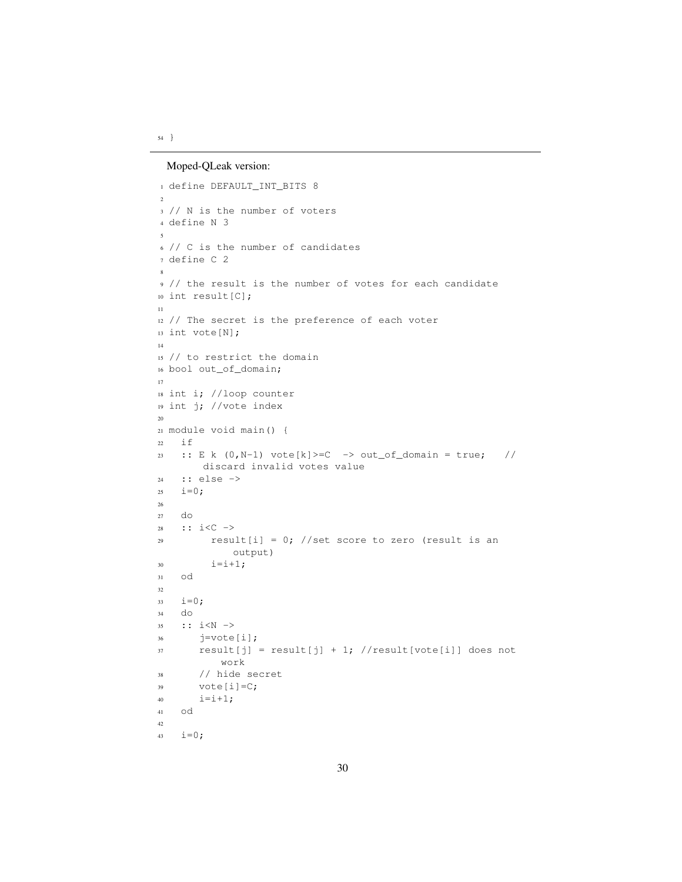Moped-QLeak version:

```
1 define DEFAULT_INT_BITS 8
2
3 // N is the number of voters
4 define N 3
 5
6 // C is the number of candidates
7 define C 2
8
9 // the result is the number of votes for each candidate
10 int result[C];
11
12 // The secret is the preference of each voter
13 int vote[N];
14
15 // to restrict the domain
16 bool out_of_domain;
17
18 int i; //loop counter
19 int j; //vote index
20
21 module void main() {
22 if
23 :: E k (0, N-1) vote[k]>=C -> out_of_domain = true; //
       discard invalid votes value
24 :: else ->
25 i=0;26
27 do
28 :: i < C ->
29 result[i] = 0; //set score to zero (result is an
           output)
30 i=i+1;31 od
32
i=0;34 do
35 :: i<N ->
36 j=vote[i];
37 result[j] = result[j] + 1; //result[vote[i]] does not
          work
38 // hide secret
39 vote[i]=C;
40 i=1+1;41 od
42
43 i=0;
```
}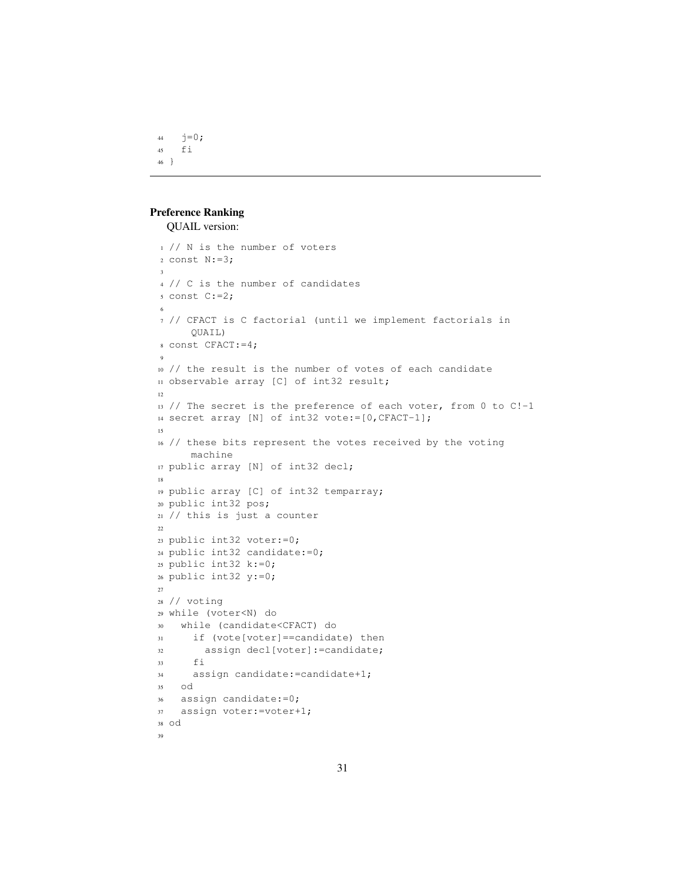44  $j=0;$  fi }

# Preference Ranking

```
QUAIL version:
```

```
1 // N is the number of voters
2 const N:=3;
 3
4 // C is the number of candidates
5 const C:=2;
6
7 // CFACT is C factorial (until we implement factorials in
     QUAIL)
8 const CFACT:=4;
 9
10 // the result is the number of votes of each candidate
11 observable array [C] of int32 result;
12
13 // The secret is the preference of each voter, from 0 to C!-1
14 secret array [N] of int32 vote:=[0,CFACT-1];
15
16 // these bits represent the votes received by the voting
     machine
17 public array [N] of int32 decl;
18
19 public array [C] of int32 temparray;
20 public int32 pos;
21 // this is just a counter
22
23 public int32 voter:=0;
24 public int32 candidate:=0;
25 public int32 k:=0;
26 public int32 y:=0;
27
28 // voting
29 while (voter<N) do
30 while (candidate<CFACT) do
31 if (vote[voter]==candidate) then
32 assign decl[voter]:=candidate;
33 fi
34 assign candidate:=candidate+1;
35 od
36 assign candidate:=0;
37 assign voter:=voter+1;
38 od
39
```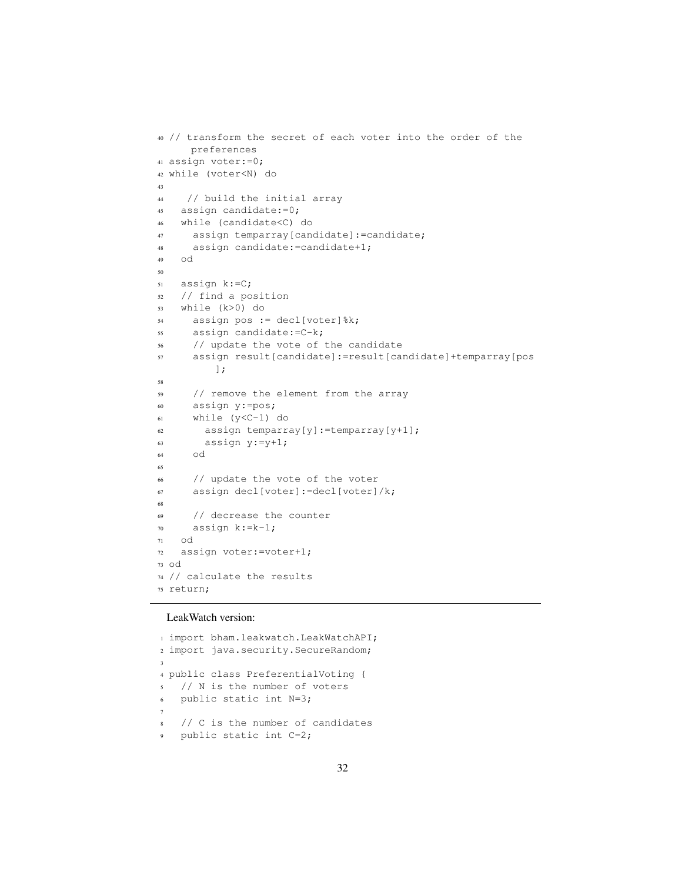```
40 // transform the secret of each voter into the order of the
     preferences
41 assign voter:=0;
42 while (voter<N) do
43
44 // build the initial array
45 assign candidate:=0;
46 while (candidate<C) do
47 assign temparray[candidate]:=candidate;
48 assign candidate:=candidate+1;
49 od
50
51 assign k:=C;
52 // find a position
53 while (k>0) do
54 assign pos := decl[voter]%k;
55 assign candidate:=C-k;
56 // update the vote of the candidate
57 assign result[candidate]:=result[candidate]+temparray[pos
         ];
58
59 // remove the element from the array
60 assign y:=pos;
61 while (y<C-1) do
62 assign temparray[y]:=temparray[y+1];
63 assign y:=y+1;64 od
65
66 // update the vote of the voter
67 assign decl[voter]:=decl[voter]/k;
68
69 // decrease the counter
70 assign k:=k-1;
71 od
72 assign voter:=voter+1;
73 od
74 // calculate the results
75 return;
```
LeakWatch version:

```
1 import bham.leakwatch.LeakWatchAPI;
2 import java.security.SecureRandom;
3
4 public class PreferentialVoting {
5 // N is the number of voters
6 public static int N=3;
7
8 // C is the number of candidates
   public static int C=2;
```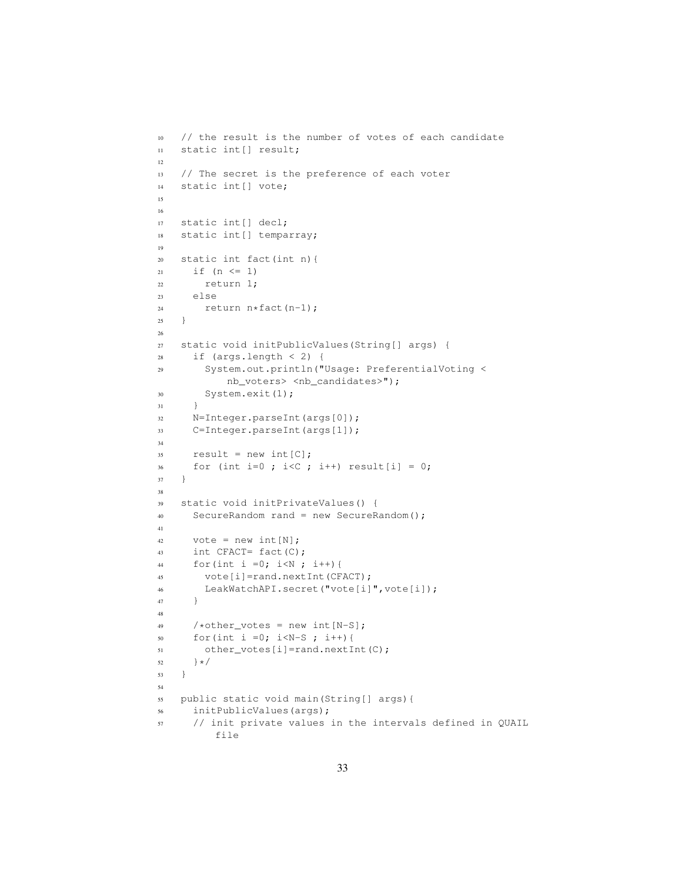```
10 // the result is the number of votes of each candidate
11 static int[] result;
12
13 // The secret is the preference of each voter
14 static int[] vote;
15
16
17 static int[] decl;
18 static int[] temparray;
19
20 static int fact(int n){
21 if (n \leq 1)22 return 1;
23 else
24 return n * fact(n-1);
25 }
26
27 static void initPublicValues(String[] args) {
28 if (args.length < 2) {
29 System.out.println("Usage: PreferentialVoting <
           nb_voters> <nb_candidates>");
30 System.exit(1);
31 }
32 N=Integer.parseInt(args[0]);
33 C=Integer.parseInt(args[1]);
34
35 result = new int[C];
36 for (int i=0; i<C; i++) result[i] = 0;
37 }
38
39 static void initPrivateValues() {
40 SecureRandom rand = new SecureRandom();
41
42 vote = new int[N];
43 int CFACT= fact(C);
44 for(int i =0; i<N; i++){
45 vote[i]=rand.nextInt(CFACT);
46 LeakWatchAPI.secret("vote[i]",vote[i]);
47 }
48
49 /*other_votes = new int[N-S];
50 for(int i =0; i<N-S ; i++){
51 other_votes[i]=rand.nextInt(C);
52 } \star /
53 }
54
55 public static void main(String[] args){
56 initPublicValues(args);
57 // init private values in the intervals defined in QUAIL
         file
```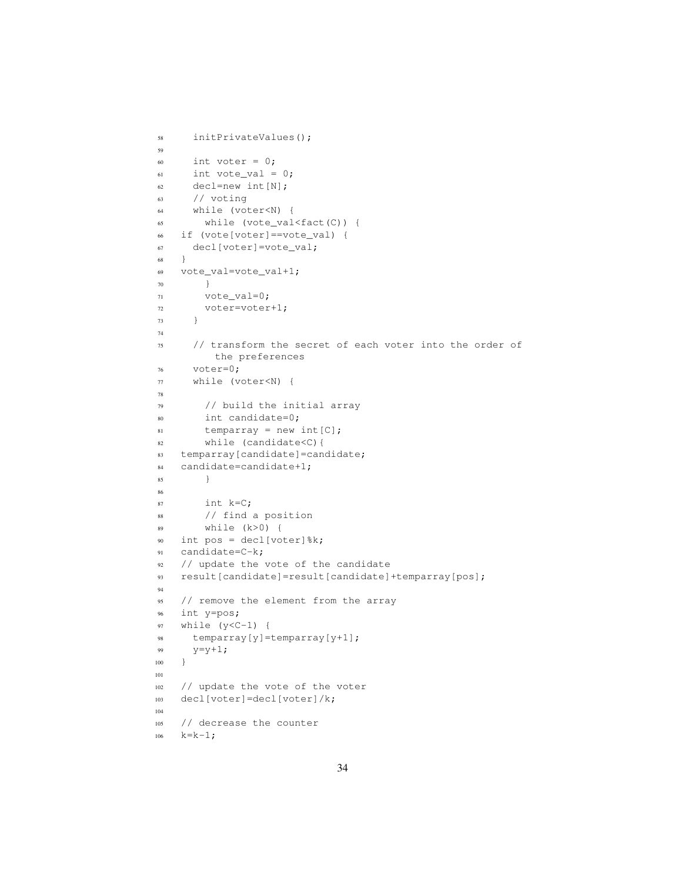```
58 initPrivateValues();
59
60 int voter = 0;61 int vote_val = 0;
62 decl=new int[N];
63 // voting
64 while (voter<N) {
65 while (vote_val<fact(C)) {
66 if (vote[voter]==vote_val) {
67 decl[voter]=vote_val;
68 }
69 vote_val=vote_val+1;
70 }
71 vote_val=0;
72 voter=voter+1;
73 }
74
75 // transform the secret of each voter into the order of
        the preferences
76 voter=0;
77 while (voter<N) {
78
79 // build the initial array
80 int candidate=0;
81 temparray = new int[C];
82 while (candidate<C){
83 temparray[candidate]=candidate;
84 candidate=candidate+1;
85 \Big\}86
87 int k=C;
88 // find a position
89 while (k>0) {
90 int pos = decl[voter]%k;
91 candidate=C-k;
92 // update the vote of the candidate
93 result[candidate]=result[candidate]+temparray[pos];
94
95 // remove the element from the array
96 int y=pos;
97 while (y<C-1) {
98 temparray[y]=temparray[y+1];
99 y=y+1;100 }
101
102 // update the vote of the voter
103 decl[voter]=decl[voter]/k;
104
105 // decrease the counter
106 k=k-1;
```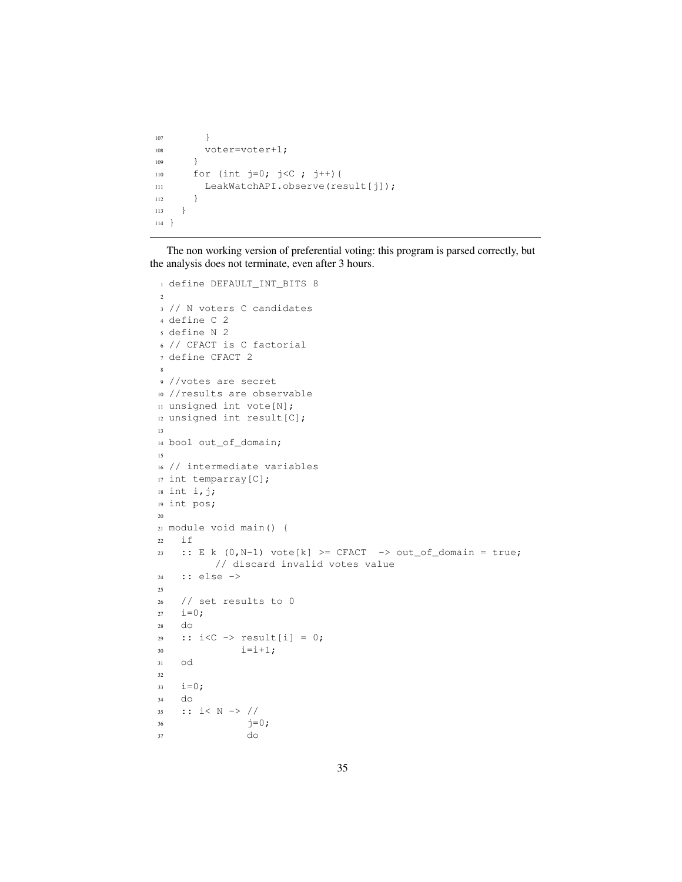```
107 }
108 voter=voter+1;
109 }
110 for (int j=0; j<C ; j++){
111 LeakWatchAPI.observe(result[j]);
112 }
113 }
114 \, }
```
The non working version of preferential voting: this program is parsed correctly, but the analysis does not terminate, even after 3 hours.

```
1 define DEFAULT_INT_BITS 8
2
3 // N voters C candidates
4 define C 2
5 define N 2
6 // CFACT is C factorial
7 define CFACT 2
8
9 //votes are secret
10 //results are observable
11 unsigned int vote[N];
12 unsigned int result[C];
13
14 bool out_of_domain;
15
16 // intermediate variables
17 int temparray[C];
18 int i, j;
19 int pos;
20
21 module void main() {
22 if
23 :: E k (0, N-1) vote[k] >= CFACT -> out_of_domain = true;
         // discard invalid votes value
24 :: else ->
25
26 // set results to 0
27 i=0;28 do
29 :: i<C -> result[i] = 0;
30 i=i+1;31 od
32
33 i=0;34 do
35 :: i< N -> //
36 \vec{j}=0;37 do
```